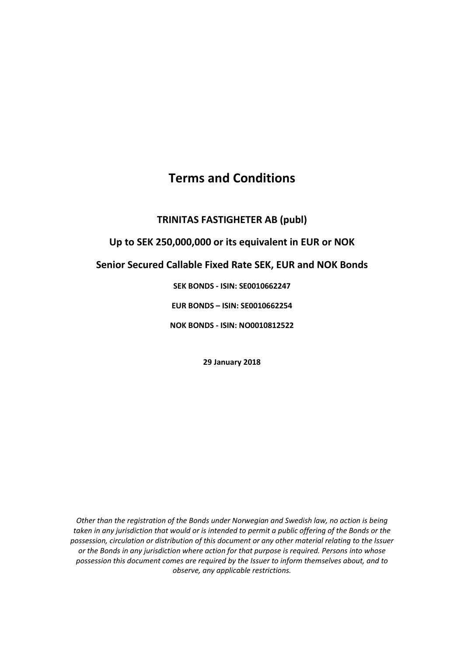# **Terms and Conditions**

## **TRINITAS FASTIGHETER AB (publ)**

## **Up to SEK 250,000,000 or its equivalent in EUR or NOK**

## **Senior Secured Callable Fixed Rate SEK, EUR and NOK Bonds**

### **SEK BONDS - ISIN: SE0010662247**

### **EUR BONDS – ISIN: SE0010662254**

**NOK BONDS - ISIN: NO0010812522**

**29 January 2018**

*Other than the registration of the Bonds under Norwegian and Swedish law, no action is being taken in any jurisdiction that would or is intended to permit a public offering of the Bonds or the possession, circulation or distribution of this document or any other material relating to the Issuer or the Bonds in any jurisdiction where action for that purpose is required. Persons into whose possession this document comes are required by the Issuer to inform themselves about, and to observe, any applicable restrictions.*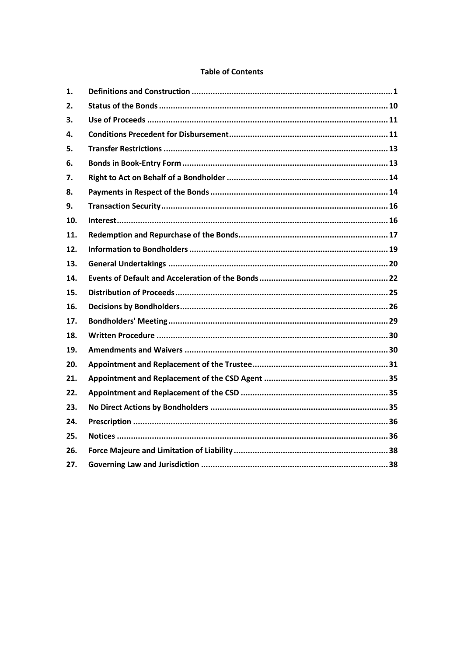#### **Table of Contents**

| 1.  |  |
|-----|--|
| 2.  |  |
| 3.  |  |
| 4.  |  |
| 5.  |  |
| 6.  |  |
| 7.  |  |
| 8.  |  |
| 9.  |  |
| 10. |  |
| 11. |  |
| 12. |  |
| 13. |  |
| 14. |  |
| 15. |  |
| 16. |  |
| 17. |  |
| 18. |  |
| 19. |  |
| 20. |  |
| 21. |  |
| 22. |  |
| 23. |  |
| 24. |  |
| 25. |  |
| 26. |  |
| 27. |  |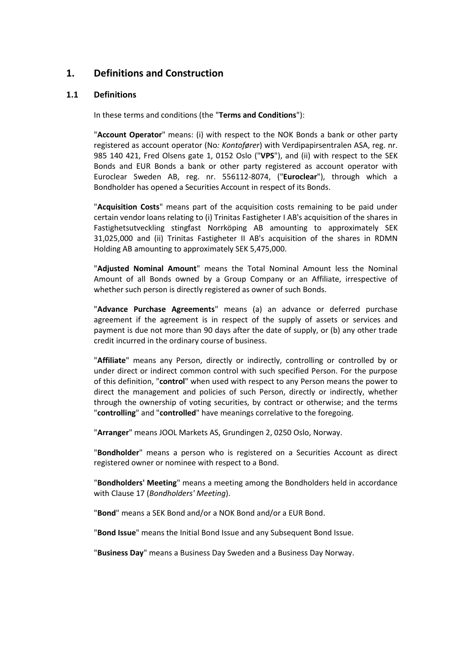## <span id="page-2-0"></span>**1. Definitions and Construction**

#### <span id="page-2-1"></span>**1.1 Definitions**

In these terms and conditions (the "**Terms and Conditions**"):

"**Account Operator**" means: (i) with respect to the NOK Bonds a bank or other party registered as account operator (No*: Kontofører*) with Verdipapirsentralen ASA, reg. nr. 985 140 421, Fred Olsens gate 1, 0152 Oslo ("**VPS**"), and (ii) with respect to the SEK Bonds and EUR Bonds a bank or other party registered as account operator with Euroclear Sweden AB, reg. nr. 556112-8074, ("**Euroclear**"), through which a Bondholder has opened a Securities Account in respect of its Bonds.

"**Acquisition Costs**" means part of the acquisition costs remaining to be paid under certain vendor loans relating to (i) Trinitas Fastigheter I AB's acquisition of the shares in Fastighetsutveckling stingfast Norrköping AB amounting to approximately SEK 31,025,000 and (ii) Trinitas Fastigheter II AB's acquisition of the shares in RDMN Holding AB amounting to approximately SEK 5,475,000.

"**Adjusted Nominal Amount**" means the Total Nominal Amount less the Nominal Amount of all Bonds owned by a Group Company or an Affiliate, irrespective of whether such person is directly registered as owner of such Bonds.

"**Advance Purchase Agreements**" means (a) an advance or deferred purchase agreement if the agreement is in respect of the supply of assets or services and payment is due not more than 90 days after the date of supply, or (b) any other trade credit incurred in the ordinary course of business.

"**Affiliate**" means any Person, directly or indirectly, controlling or controlled by or under direct or indirect common control with such specified Person. For the purpose of this definition, "**control**" when used with respect to any Person means the power to direct the management and policies of such Person, directly or indirectly, whether through the ownership of voting securities, by contract or otherwise; and the terms "**controlling**" and "**controlled**" have meanings correlative to the foregoing.

"**Arranger**" means JOOL Markets AS, Grundingen 2, 0250 Oslo, Norway.

"**Bondholder**" means a person who is registered on a Securities Account as direct registered owner or nominee with respect to a Bond.

"**Bondholders' Meeting**" means a meeting among the Bondholders held in accordance with Clause [17](#page-30-0) (*[Bondholders'](#page-30-0) Meeting*).

"**Bond**" means a SEK Bond and/or a NOK Bond and/or a EUR Bond.

"**Bond Issue**" means the Initial Bond Issue and any Subsequent Bond Issue.

"**Business Day**" means a Business Day Sweden and a Business Day Norway.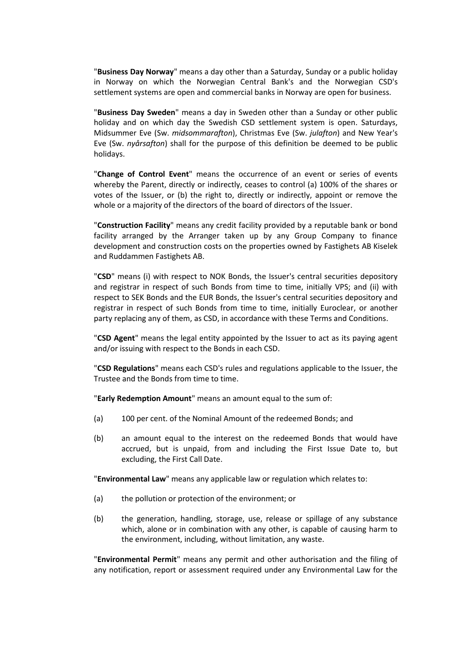"**Business Day Norway**" means a day other than a Saturday, Sunday or a public holiday in Norway on which the Norwegian Central Bank's and the Norwegian CSD's settlement systems are open and commercial banks in Norway are open for business.

"**Business Day Sweden**" means a day in Sweden other than a Sunday or other public holiday and on which day the Swedish CSD settlement system is open. Saturdays, Midsummer Eve (Sw. *midsommarafton*), Christmas Eve (Sw. *julafton*) and New Year's Eve (Sw. *nyårsafton*) shall for the purpose of this definition be deemed to be public holidays.

"**Change of Control Event**" means the occurrence of an event or series of events whereby the Parent, directly or indirectly, ceases to control (a) 100% of the shares or votes of the Issuer, or (b) the right to, directly or indirectly, appoint or remove the whole or a majority of the directors of the board of directors of the Issuer.

"**Construction Facility**" means any credit facility provided by a reputable bank or bond facility arranged by the Arranger taken up by any Group Company to finance development and construction costs on the properties owned by Fastighets AB Kiselek and Ruddammen Fastighets AB.

"**CSD**" means (i) with respect to NOK Bonds, the Issuer's central securities depository and registrar in respect of such Bonds from time to time, initially VPS; and (ii) with respect to SEK Bonds and the EUR Bonds, the Issuer's central securities depository and registrar in respect of such Bonds from time to time, initially Euroclear, or another party replacing any of them, as CSD, in accordance with these Terms and Conditions.

"**CSD Agent**" means the legal entity appointed by the Issuer to act as its paying agent and/or issuing with respect to the Bonds in each CSD.

"**CSD Regulations**" means each CSD's rules and regulations applicable to the Issuer, the Trustee and the Bonds from time to time.

"**Early Redemption Amount**" means an amount equal to the sum of:

- (a) 100 per cent. of the Nominal Amount of the redeemed Bonds; and
- (b) an amount equal to the interest on the redeemed Bonds that would have accrued, but is unpaid, from and including the First Issue Date to, but excluding, the First Call Date.

"**Environmental Law**" means any applicable law or regulation which relates to:

- (a) the pollution or protection of the environment; or
- (b) the generation, handling, storage, use, release or spillage of any substance which, alone or in combination with any other, is capable of causing harm to the environment, including, without limitation, any waste.

"**Environmental Permit**" means any permit and other authorisation and the filing of any notification, report or assessment required under any Environmental Law for the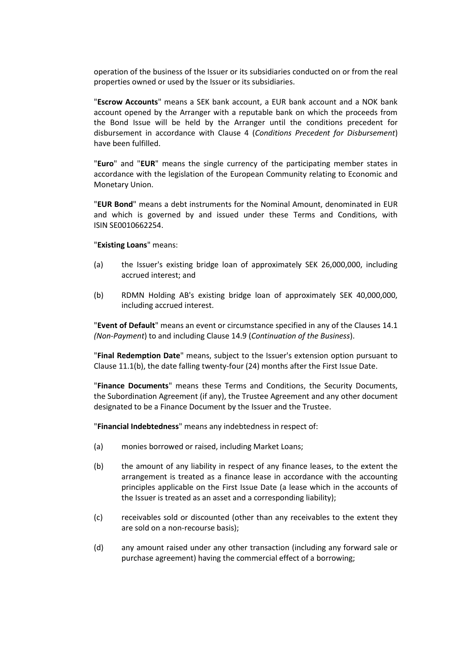operation of the business of the Issuer or its subsidiaries conducted on or from the real properties owned or used by the Issuer or its subsidiaries.

"**Escrow Accounts**" means a SEK bank account, a EUR bank account and a NOK bank account opened by the Arranger with a reputable bank on which the proceeds from the Bond Issue will be held by the Arranger until the conditions precedent for disbursement in accordance with Clause [4](#page-12-1) (*[Conditions Precedent](#page-12-1) for Disbursement*) have been fulfilled.

"**Euro**" and "**EUR**" means the single currency of the participating member states in accordance with the legislation of the European Community relating to Economic and Monetary Union.

"**EUR Bond**" means a debt instruments for the Nominal Amount, denominated in EUR and which is governed by and issued under these Terms and Conditions, with ISIN SE0010662254.

#### "**Existing Loans**" means:

- (a) the Issuer's existing bridge loan of approximately SEK 26,000,000, including accrued interest; and
- (b) RDMN Holding AB's existing bridge loan of approximately SEK 40,000,000, including accrued interest.

"**Event of Default**" means an event or circumstance specified in any of the Clauses [14.1](#page-23-1) *(Non-Payment*) to and including Clause [14.9](#page-25-0) (*[Continuation of the Business](#page-25-0)*).

"**Final Redemption Date**" means, subject to the Issuer's extension option pursuant to Clause [11.1\(b\),](#page-18-1) the date falling twenty-four (24) months after the First Issue Date.

"**Finance Documents**" means these Terms and Conditions, the Security Documents, the Subordination Agreement (if any), the Trustee Agreement and any other document designated to be a Finance Document by the Issuer and the Trustee.

"**Financial Indebtedness**" means any indebtedness in respect of:

- (a) monies borrowed or raised, including Market Loans;
- (b) the amount of any liability in respect of any finance leases, to the extent the arrangement is treated as a finance lease in accordance with the accounting principles applicable on the First Issue Date (a lease which in the accounts of the Issuer is treated as an asset and a corresponding liability);
- (c) receivables sold or discounted (other than any receivables to the extent they are sold on a non-recourse basis);
- (d) any amount raised under any other transaction (including any forward sale or purchase agreement) having the commercial effect of a borrowing;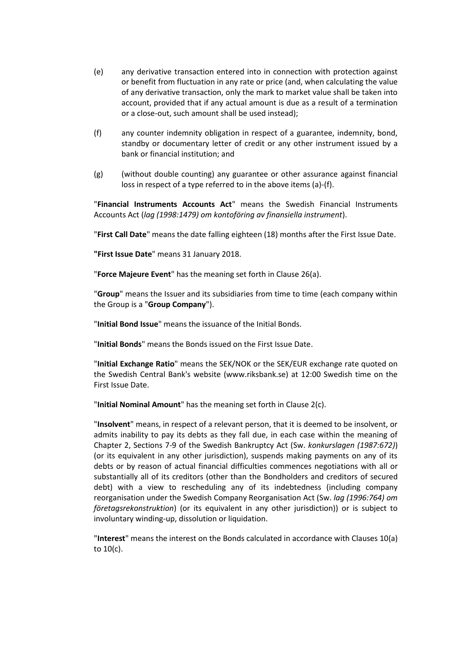- (e) any derivative transaction entered into in connection with protection against or benefit from fluctuation in any rate or price (and, when calculating the value of any derivative transaction, only the mark to market value shall be taken into account, provided that if any actual amount is due as a result of a termination or a close-out, such amount shall be used instead);
- (f) any counter indemnity obligation in respect of a guarantee, indemnity, bond, standby or documentary letter of credit or any other instrument issued by a bank or financial institution; and
- (g) (without double counting) any guarantee or other assurance against financial loss in respect of a type referred to in the above items (a)-(f).

"**Financial Instruments Accounts Act**" means the Swedish Financial Instruments Accounts Act (*lag (1998:1479) om kontoföring av finansiella instrument*).

"**First Call Date**" means the date falling eighteen (18) months after the First Issue Date.

**"First Issue Date**" means 31 January 2018.

"**Force Majeure Event**" has the meaning set forth in Clause [26\(a\).](#page-39-2)

"**Group**" means the Issuer and its subsidiaries from time to time (each company within the Group is a "**Group Company**").

"**Initial Bond Issue**" means the issuance of the Initial Bonds.

"**Initial Bonds**" means the Bonds issued on the First Issue Date.

"**Initial Exchange Ratio**" means the SEK/NOK or the SEK/EUR exchange rate quoted on the Swedish Central Bank's website (www.riksbank.se) at 12:00 Swedish time on the First Issue Date.

"**Initial Nominal Amount**" has the meaning set forth in Clause [2\(c\).](#page-11-1)

"**Insolvent**" means, in respect of a relevant person, that it is deemed to be insolvent, or admits inability to pay its debts as they fall due, in each case within the meaning of Chapter 2, Sections 7-9 of the Swedish Bankruptcy Act (Sw. *konkurslagen (1987:672)*) (or its equivalent in any other jurisdiction), suspends making payments on any of its debts or by reason of actual financial difficulties commences negotiations with all or substantially all of its creditors (other than the Bondholders and creditors of secured debt) with a view to rescheduling any of its indebtedness (including company reorganisation under the Swedish Company Reorganisation Act (Sw. *lag (1996:764) om företagsrekonstruktion*) (or its equivalent in any other jurisdiction)) or is subject to involuntary winding-up, dissolution or liquidation.

"**Interest**" means the interest on the Bonds calculated in accordance with Clauses [10\(a\)](#page-17-2) t[o 10\(c\).](#page-18-2)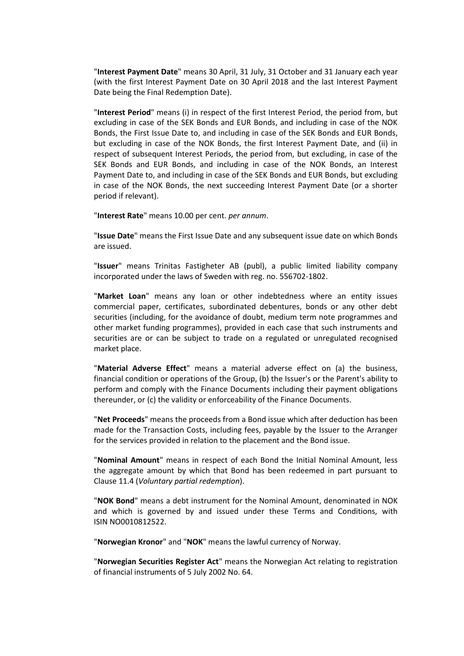"**Interest Payment Date**" means 30 April, 31 July, 31 October and 31 January each year (with the first Interest Payment Date on 30 April 2018 and the last Interest Payment Date being the Final Redemption Date).

"**Interest Period**" means (i) in respect of the first Interest Period, the period from, but excluding in case of the SEK Bonds and EUR Bonds, and including in case of the NOK Bonds, the First Issue Date to, and including in case of the SEK Bonds and EUR Bonds, but excluding in case of the NOK Bonds, the first Interest Payment Date, and (ii) in respect of subsequent Interest Periods, the period from, but excluding, in case of the SEK Bonds and EUR Bonds, and including in case of the NOK Bonds, an Interest Payment Date to, and including in case of the SEK Bonds and EUR Bonds, but excluding in case of the NOK Bonds, the next succeeding Interest Payment Date (or a shorter period if relevant).

"**Interest Rate**" means 10.00 per cent. *per annum*.

"**Issue Date**" means the First Issue Date and any subsequent issue date on which Bonds are issued.

"**Issuer**" means Trinitas Fastigheter AB (publ), a public limited liability company incorporated under the laws of Sweden with reg. no. 556702-1802.

"**Market Loan**" means any loan or other indebtedness where an entity issues commercial paper, certificates, subordinated debentures, bonds or any other debt securities (including, for the avoidance of doubt, medium term note programmes and other market funding programmes), provided in each case that such instruments and securities are or can be subject to trade on a regulated or unregulated recognised market place.

"**Material Adverse Effect**" means a material adverse effect on (a) the business, financial condition or operations of the Group, (b) the Issuer's or the Parent's ability to perform and comply with the Finance Documents including their payment obligations thereunder, or (c) the validity or enforceability of the Finance Documents.

"**Net Proceeds**" means the proceeds from a Bond issue which after deduction has been made for the Transaction Costs, including fees, payable by the Issuer to the Arranger for the services provided in relation to the placement and the Bond issue.

"**Nominal Amount**" means in respect of each Bond the Initial Nominal Amount, less the aggregate amount by which that Bond has been redeemed in part pursuant to Clause [11.4](#page-19-0) (*Voluntary [partial redemption](#page-19-0)*).

"**NOK Bond**" means a debt instrument for the Nominal Amount, denominated in NOK and which is governed by and issued under these Terms and Conditions, with ISIN NO0010812522.

"**Norwegian Kronor**" and "**NOK**" means the lawful currency of Norway.

"**Norwegian Securities Register Act**" means the Norwegian Act relating to registration of financial instruments of 5 July 2002 No. 64.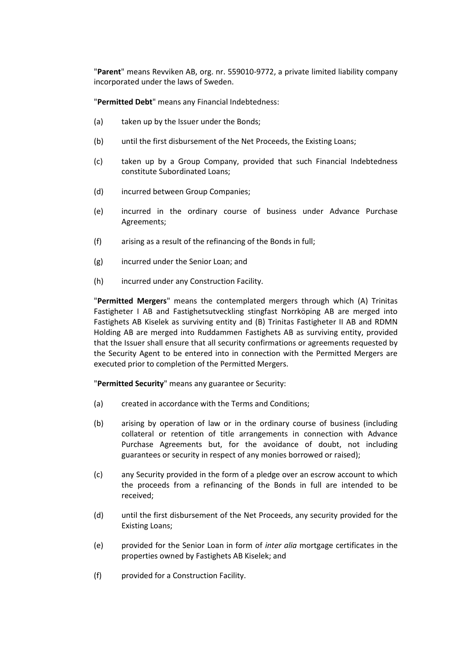"**Parent**" means Revviken AB, org. nr. 559010-9772, a private limited liability company incorporated under the laws of Sweden.

"**Permitted Debt**" means any Financial Indebtedness:

- (a) taken up by the Issuer under the Bonds;
- (b) until the first disbursement of the Net Proceeds, the Existing Loans;
- (c) taken up by a Group Company, provided that such Financial Indebtedness constitute Subordinated Loans;
- (d) incurred between Group Companies;
- (e) incurred in the ordinary course of business under Advance Purchase Agreements;
- (f) arising as a result of the refinancing of the Bonds in full;
- (g) incurred under the Senior Loan; and
- (h) incurred under any Construction Facility.

"**Permitted Mergers**" means the contemplated mergers through which (A) Trinitas Fastigheter I AB and Fastighetsutveckling stingfast Norrköping AB are merged into Fastighets AB Kiselek as surviving entity and (B) Trinitas Fastigheter II AB and RDMN Holding AB are merged into Ruddammen Fastighets AB as surviving entity, provided that the Issuer shall ensure that all security confirmations or agreements requested by the Security Agent to be entered into in connection with the Permitted Mergers are executed prior to completion of the Permitted Mergers.

"**Permitted Security**" means any guarantee or Security:

- (a) created in accordance with the Terms and Conditions;
- (b) arising by operation of law or in the ordinary course of business (including collateral or retention of title arrangements in connection with Advance Purchase Agreements but, for the avoidance of doubt, not including guarantees or security in respect of any monies borrowed or raised);
- (c) any Security provided in the form of a pledge over an escrow account to which the proceeds from a refinancing of the Bonds in full are intended to be received;
- (d) until the first disbursement of the Net Proceeds, any security provided for the Existing Loans;
- (e) provided for the Senior Loan in form of *inter alia* mortgage certificates in the properties owned by Fastighets AB Kiselek; and
- (f) provided for a Construction Facility.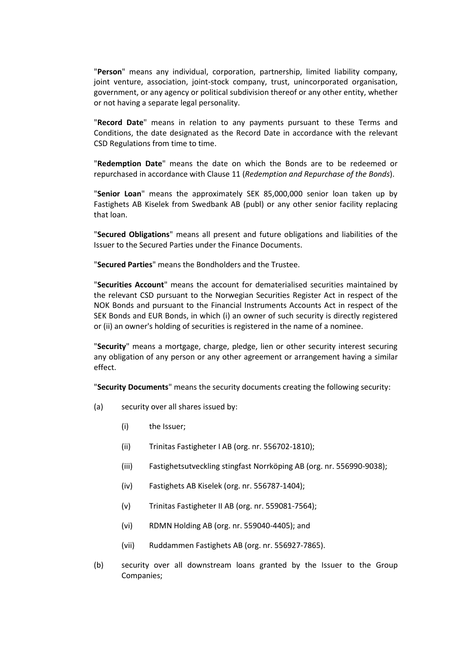"**Person**" means any individual, corporation, partnership, limited liability company, joint venture, association, joint-stock company, trust, unincorporated organisation, government, or any agency or political subdivision thereof or any other entity, whether or not having a separate legal personality.

"**Record Date**" means in relation to any payments pursuant to these Terms and Conditions, the date designated as the Record Date in accordance with the relevant CSD Regulations from time to time.

"**Redemption Date**" means the date on which the Bonds are to be redeemed or repurchased in accordance with Clause [11](#page-18-0) (*[Redemption and Repurchase of the Bonds](#page-18-0)*).

"**Senior Loan**" means the approximately SEK 85,000,000 senior loan taken up by Fastighets AB Kiselek from Swedbank AB (publ) or any other senior facility replacing that loan.

"**Secured Obligations**" means all present and future obligations and liabilities of the Issuer to the Secured Parties under the Finance Documents.

"**Secured Parties**" means the Bondholders and the Trustee.

"**Securities Account**" means the account for dematerialised securities maintained by the relevant CSD pursuant to the Norwegian Securities Register Act in respect of the NOK Bonds and pursuant to the Financial Instruments Accounts Act in respect of the SEK Bonds and EUR Bonds, in which (i) an owner of such security is directly registered or (ii) an owner's holding of securities is registered in the name of a nominee.

"**Security**" means a mortgage, charge, pledge, lien or other security interest securing any obligation of any person or any other agreement or arrangement having a similar effect.

"**Security Documents**" means the security documents creating the following security:

- (a) security over all shares issued by:
	- (i) the Issuer;
	- (ii) Trinitas Fastigheter I AB (org. nr. 556702-1810);
	- (iii) Fastighetsutveckling stingfast Norrköping AB (org. nr. 556990-9038);
	- (iv) Fastighets AB Kiselek (org. nr. 556787-1404);
	- (v) Trinitas Fastigheter II AB (org. nr. 559081-7564);
	- (vi) RDMN Holding AB (org. nr. 559040-4405); and
	- (vii) Ruddammen Fastighets AB (org. nr. 556927-7865).
- (b) security over all downstream loans granted by the Issuer to the Group Companies;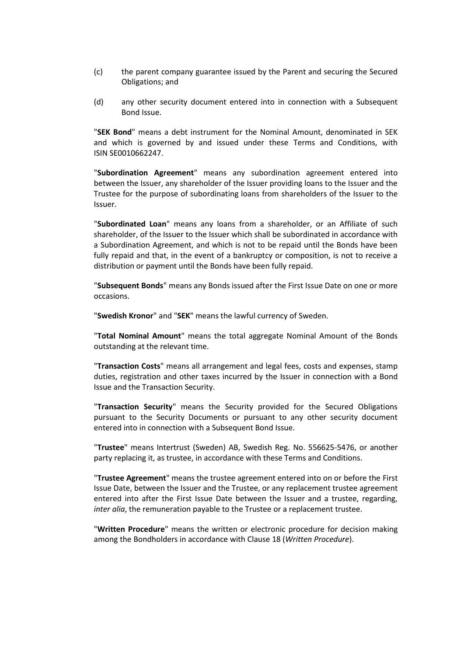- (c) the parent company guarantee issued by the Parent and securing the Secured Obligations; and
- (d) any other security document entered into in connection with a Subsequent Bond Issue.

"**SEK Bond**" means a debt instrument for the Nominal Amount, denominated in SEK and which is governed by and issued under these Terms and Conditions, with ISIN SE0010662247.

"**Subordination Agreement**" means any subordination agreement entered into between the Issuer, any shareholder of the Issuer providing loans to the Issuer and the Trustee for the purpose of subordinating loans from shareholders of the Issuer to the Issuer.

"**Subordinated Loan**" means any loans from a shareholder, or an Affiliate of such shareholder, of the Issuer to the Issuer which shall be subordinated in accordance with a Subordination Agreement, and which is not to be repaid until the Bonds have been fully repaid and that, in the event of a bankruptcy or composition, is not to receive a distribution or payment until the Bonds have been fully repaid.

"**Subsequent Bonds**" means any Bonds issued after the First Issue Date on one or more occasions.

"**Swedish Kronor**" and "**SEK**" means the lawful currency of Sweden.

"**Total Nominal Amount**" means the total aggregate Nominal Amount of the Bonds outstanding at the relevant time.

"**Transaction Costs**" means all arrangement and legal fees, costs and expenses, stamp duties, registration and other taxes incurred by the Issuer in connection with a Bond Issue and the Transaction Security.

"**Transaction Security**" means the Security provided for the Secured Obligations pursuant to the Security Documents or pursuant to any other security document entered into in connection with a Subsequent Bond Issue.

"**Trustee**" means Intertrust (Sweden) AB, Swedish Reg. No. 556625-5476, or another party replacing it, as trustee, in accordance with these Terms and Conditions.

"**Trustee Agreement**" means the trustee agreement entered into on or before the First Issue Date, between the Issuer and the Trustee, or any replacement trustee agreement entered into after the First Issue Date between the Issuer and a trustee, regarding, *inter alia*, the remuneration payable to the Trustee or a replacement trustee.

"**Written Procedure**" means the written or electronic procedure for decision making among the Bondholders in accordance with Clause [18](#page-31-0) (*[Written Procedure](#page-31-0)*).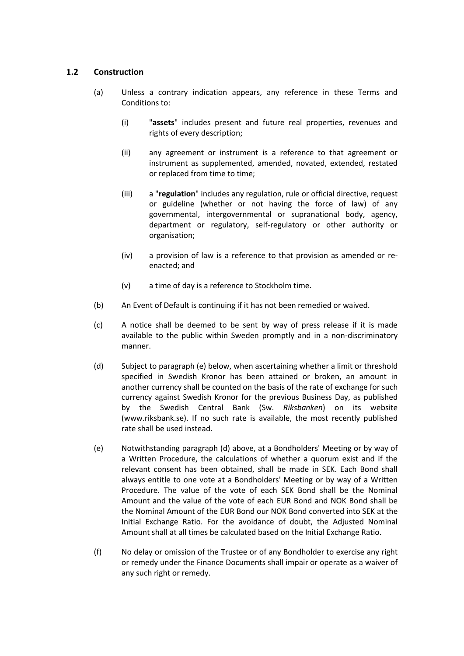### **1.2 Construction**

- (a) Unless a contrary indication appears, any reference in these Terms and Conditions to:
	- (i) "**assets**" includes present and future real properties, revenues and rights of every description;
	- (ii) any agreement or instrument is a reference to that agreement or instrument as supplemented, amended, novated, extended, restated or replaced from time to time;
	- (iii) a "**regulation**" includes any regulation, rule or official directive, request or guideline (whether or not having the force of law) of any governmental, intergovernmental or supranational body, agency, department or regulatory, self-regulatory or other authority or organisation;
	- (iv) a provision of law is a reference to that provision as amended or reenacted; and
	- (v) a time of day is a reference to Stockholm time.
- (b) An Event of Default is continuing if it has not been remedied or waived.
- (c) A notice shall be deemed to be sent by way of press release if it is made available to the public within Sweden promptly and in a non-discriminatory manner.
- (d) Subject to paragraph (e) below, when ascertaining whether a limit or threshold specified in Swedish Kronor has been attained or broken, an amount in another currency shall be counted on the basis of the rate of exchange for such currency against Swedish Kronor for the previous Business Day, as published by the Swedish Central Bank (Sw. *Riksbanken*) on its website (www.riksbank.se). If no such rate is available, the most recently published rate shall be used instead.
- (e) Notwithstanding paragraph (d) above, at a Bondholders' Meeting or by way of a Written Procedure, the calculations of whether a quorum exist and if the relevant consent has been obtained, shall be made in SEK. Each Bond shall always entitle to one vote at a Bondholders' Meeting or by way of a Written Procedure. The value of the vote of each SEK Bond shall be the Nominal Amount and the value of the vote of each EUR Bond and NOK Bond shall be the Nominal Amount of the EUR Bond our NOK Bond converted into SEK at the Initial Exchange Ratio. For the avoidance of doubt, the Adjusted Nominal Amount shall at all times be calculated based on the Initial Exchange Ratio.
- (f) No delay or omission of the Trustee or of any Bondholder to exercise any right or remedy under the Finance Documents shall impair or operate as a waiver of any such right or remedy.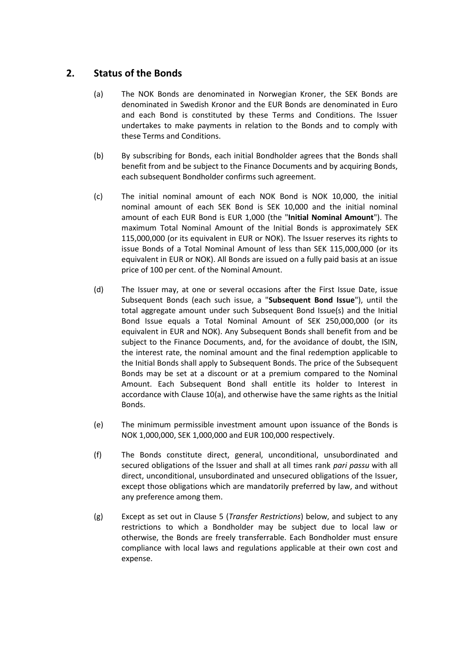## <span id="page-11-2"></span><span id="page-11-0"></span>**2. Status of the Bonds**

- (a) The NOK Bonds are denominated in Norwegian Kroner, the SEK Bonds are denominated in Swedish Kronor and the EUR Bonds are denominated in Euro and each Bond is constituted by these Terms and Conditions. The Issuer undertakes to make payments in relation to the Bonds and to comply with these Terms and Conditions.
- (b) By subscribing for Bonds, each initial Bondholder agrees that the Bonds shall benefit from and be subject to the Finance Documents and by acquiring Bonds, each subsequent Bondholder confirms such agreement.
- <span id="page-11-1"></span>(c) The initial nominal amount of each NOK Bond is NOK 10,000, the initial nominal amount of each SEK Bond is SEK 10,000 and the initial nominal amount of each EUR Bond is EUR 1,000 (the "**Initial Nominal Amount**"). The maximum Total Nominal Amount of the Initial Bonds is approximately SEK 115,000,000 (or its equivalent in EUR or NOK). The Issuer reserves its rights to issue Bonds of a Total Nominal Amount of less than SEK 115,000,000 (or its equivalent in EUR or NOK). All Bonds are issued on a fully paid basis at an issue price of 100 per cent. of the Nominal Amount.
- (d) The Issuer may, at one or several occasions after the First Issue Date, issue Subsequent Bonds (each such issue, a "**Subsequent Bond Issue**"), until the total aggregate amount under such Subsequent Bond Issue(s) and the Initial Bond Issue equals a Total Nominal Amount of SEK 250,000,000 (or its equivalent in EUR and NOK). Any Subsequent Bonds shall benefit from and be subject to the Finance Documents, and, for the avoidance of doubt, the ISIN, the interest rate, the nominal amount and the final redemption applicable to the Initial Bonds shall apply to Subsequent Bonds. The price of the Subsequent Bonds may be set at a discount or at a premium compared to the Nominal Amount. Each Subsequent Bond shall entitle its holder to Interest in accordance with Clause [10\(a\),](#page-17-2) and otherwise have the same rights as the Initial Bonds.
- (e) The minimum permissible investment amount upon issuance of the Bonds is NOK 1,000,000, SEK 1,000,000 and EUR 100,000 respectively.
- <span id="page-11-3"></span>(f) The Bonds constitute direct, general, unconditional, unsubordinated and secured obligations of the Issuer and shall at all times rank *pari passu* with all direct, unconditional, unsubordinated and unsecured obligations of the Issuer, except those obligations which are mandatorily preferred by law, and without any preference among them.
- (g) Except as set out in Clause [5](#page-14-0) (*Transfer [Restrictions](#page-14-0)*) below, and subject to any restrictions to which a Bondholder may be subject due to local law or otherwise, the Bonds are freely transferrable. Each Bondholder must ensure compliance with local laws and regulations applicable at their own cost and expense.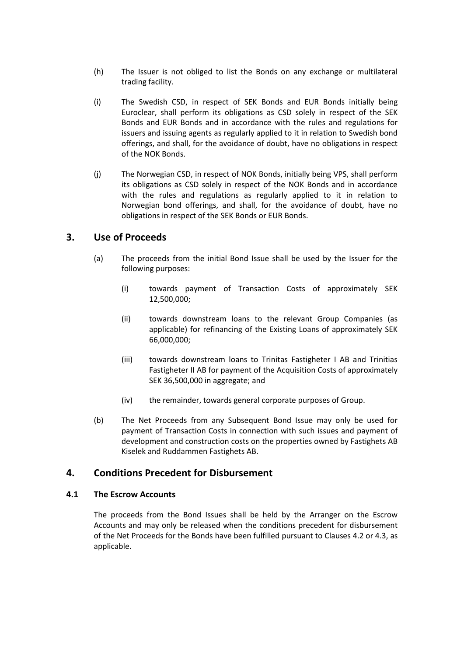- (h) The Issuer is not obliged to list the Bonds on any exchange or multilateral trading facility.
- (i) The Swedish CSD, in respect of SEK Bonds and EUR Bonds initially being Euroclear, shall perform its obligations as CSD solely in respect of the SEK Bonds and EUR Bonds and in accordance with the rules and regulations for issuers and issuing agents as regularly applied to it in relation to Swedish bond offerings, and shall, for the avoidance of doubt, have no obligations in respect of the NOK Bonds.
- (j) The Norwegian CSD, in respect of NOK Bonds, initially being VPS, shall perform its obligations as CSD solely in respect of the NOK Bonds and in accordance with the rules and regulations as regularly applied to it in relation to Norwegian bond offerings, and shall, for the avoidance of doubt, have no obligations in respect of the SEK Bonds or EUR Bonds.

## <span id="page-12-0"></span>**3. Use of Proceeds**

- (a) The proceeds from the initial Bond Issue shall be used by the Issuer for the following purposes:
	- (i) towards payment of Transaction Costs of approximately SEK 12,500,000;
	- (ii) towards downstream loans to the relevant Group Companies (as applicable) for refinancing of the Existing Loans of approximately SEK 66,000,000;
	- (iii) towards downstream loans to Trinitas Fastigheter I AB and Trinitias Fastigheter II AB for payment of the Acquisition Costs of approximately SEK 36,500,000 in aggregate; and
	- (iv) the remainder, towards general corporate purposes of Group.
- (b) The Net Proceeds from any Subsequent Bond Issue may only be used for payment of Transaction Costs in connection with such issues and payment of development and construction costs on the properties owned by Fastighets AB Kiselek and Ruddammen Fastighets AB.

## <span id="page-12-1"></span>**4. Conditions Precedent for Disbursement**

### **4.1 The Escrow Accounts**

The proceeds from the Bond Issues shall be held by the Arranger on the Escrow Accounts and may only be released when the conditions precedent for disbursement of the Net Proceeds for the Bonds have been fulfilled pursuant to Clauses [4.2](#page-13-0) o[r 4.3,](#page-13-1) as applicable.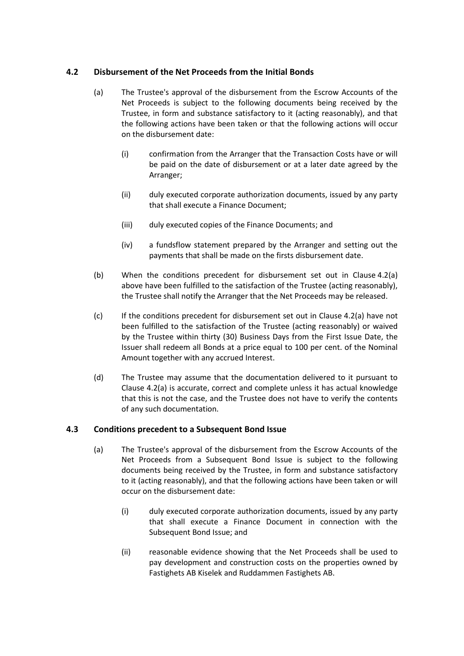### <span id="page-13-2"></span><span id="page-13-0"></span>**4.2 Disbursement of the Net Proceeds from the Initial Bonds**

- (a) The Trustee's approval of the disbursement from the Escrow Accounts of the Net Proceeds is subject to the following documents being received by the Trustee, in form and substance satisfactory to it (acting reasonably), and that the following actions have been taken or that the following actions will occur on the disbursement date:
	- (i) confirmation from the Arranger that the Transaction Costs have or will be paid on the date of disbursement or at a later date agreed by the Arranger;
	- (ii) duly executed corporate authorization documents, issued by any party that shall execute a Finance Document;
	- (iii) duly executed copies of the Finance Documents; and
	- (iv) a fundsflow statement prepared by the Arranger and setting out the payments that shall be made on the firsts disbursement date.
- (b) When the conditions precedent for disbursement set out in Clause [4.2\(a\)](#page-13-2) above have been fulfilled to the satisfaction of the Trustee (acting reasonably), the Trustee shall notify the Arranger that the Net Proceeds may be released.
- (c) If the conditions precedent for disbursement set out in Clause [4.2\(a\)](#page-13-2) have not been fulfilled to the satisfaction of the Trustee (acting reasonably) or waived by the Trustee within thirty (30) Business Days from the First Issue Date, the Issuer shall redeem all Bonds at a price equal to 100 per cent. of the Nominal Amount together with any accrued Interest.
- (d) The Trustee may assume that the documentation delivered to it pursuant to Clause [4.2\(a\)](#page-13-2) is accurate, correct and complete unless it has actual knowledge that this is not the case, and the Trustee does not have to verify the contents of any such documentation.

### <span id="page-13-1"></span>**4.3 Conditions precedent to a Subsequent Bond Issue**

- (a) The Trustee's approval of the disbursement from the Escrow Accounts of the Net Proceeds from a Subsequent Bond Issue is subject to the following documents being received by the Trustee, in form and substance satisfactory to it (acting reasonably), and that the following actions have been taken or will occur on the disbursement date:
	- (i) duly executed corporate authorization documents, issued by any party that shall execute a Finance Document in connection with the Subsequent Bond Issue; and
	- (ii) reasonable evidence showing that the Net Proceeds shall be used to pay development and construction costs on the properties owned by Fastighets AB Kiselek and Ruddammen Fastighets AB.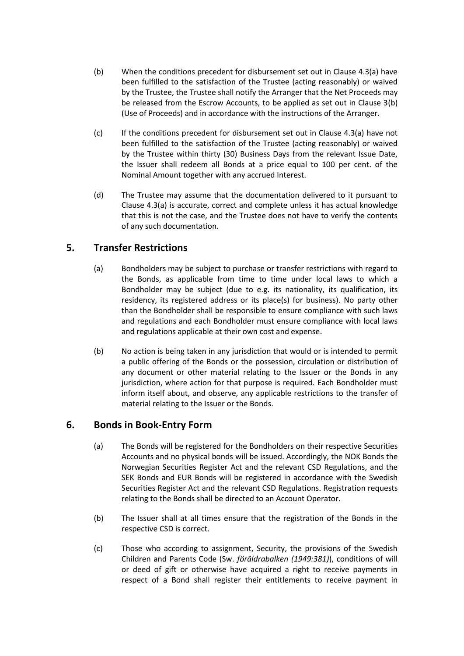- (b) When the conditions precedent for disbursement set out in Clause 4.3(a) have been fulfilled to the satisfaction of the Trustee (acting reasonably) or waived by the Trustee, the Trustee shall notify the Arranger that the Net Proceeds may be released from the Escrow Accounts, to be applied as set out in Clause 3(b) (Use of Proceeds) and in accordance with the instructions of the Arranger.
- (c) If the conditions precedent for disbursement set out in Clause 4.3(a) have not been fulfilled to the satisfaction of the Trustee (acting reasonably) or waived by the Trustee within thirty (30) Business Days from the relevant Issue Date, the Issuer shall redeem all Bonds at a price equal to 100 per cent. of the Nominal Amount together with any accrued Interest.
- (d) The Trustee may assume that the documentation delivered to it pursuant to Clause 4.3(a) is accurate, correct and complete unless it has actual knowledge that this is not the case, and the Trustee does not have to verify the contents of any such documentation.

## <span id="page-14-0"></span>**5. Transfer Restrictions**

- (a) Bondholders may be subject to purchase or transfer restrictions with regard to the Bonds, as applicable from time to time under local laws to which a Bondholder may be subject (due to e.g. its nationality, its qualification, its residency, its registered address or its place(s) for business). No party other than the Bondholder shall be responsible to ensure compliance with such laws and regulations and each Bondholder must ensure compliance with local laws and regulations applicable at their own cost and expense.
- <span id="page-14-2"></span>(b) No action is being taken in any jurisdiction that would or is intended to permit a public offering of the Bonds or the possession, circulation or distribution of any document or other material relating to the Issuer or the Bonds in any jurisdiction, where action for that purpose is required. Each Bondholder must inform itself about, and observe, any applicable restrictions to the transfer of material relating to the Issuer or the Bonds.

## <span id="page-14-1"></span>**6. Bonds in Book-Entry Form**

- (a) The Bonds will be registered for the Bondholders on their respective Securities Accounts and no physical bonds will be issued. Accordingly, the NOK Bonds the Norwegian Securities Register Act and the relevant CSD Regulations, and the SEK Bonds and EUR Bonds will be registered in accordance with the Swedish Securities Register Act and the relevant CSD Regulations. Registration requests relating to the Bonds shall be directed to an Account Operator.
- (b) The Issuer shall at all times ensure that the registration of the Bonds in the respective CSD is correct.
- (c) Those who according to assignment, Security, the provisions of the Swedish Children and Parents Code (Sw. *föräldrabalken (1949:381)*), conditions of will or deed of gift or otherwise have acquired a right to receive payments in respect of a Bond shall register their entitlements to receive payment in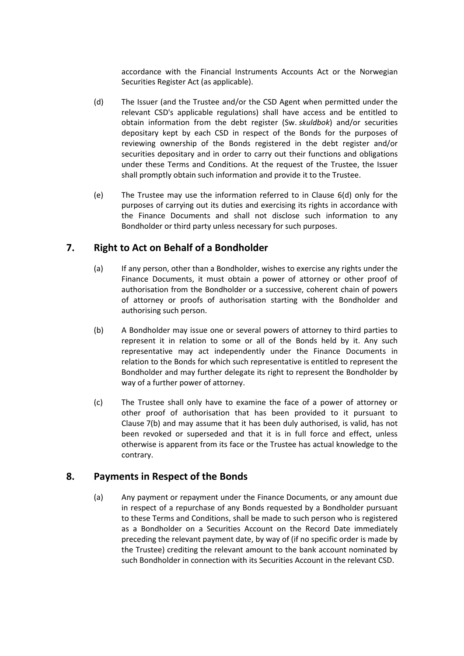accordance with the Financial Instruments Accounts Act or the Norwegian Securities Register Act (as applicable).

- <span id="page-15-2"></span>(d) The Issuer (and the Trustee and/or the CSD Agent when permitted under the relevant CSD's applicable regulations) shall have access and be entitled to obtain information from the debt register (Sw. *skuldbok*) and/or securities depositary kept by each CSD in respect of the Bonds for the purposes of reviewing ownership of the Bonds registered in the debt register and/or securities depositary and in order to carry out their functions and obligations under these Terms and Conditions. At the request of the Trustee, the Issuer shall promptly obtain such information and provide it to the Trustee.
- (e) The Trustee may use the information referred to in Clause [6\(d\)](#page-15-2) only for the purposes of carrying out its duties and exercising its rights in accordance with the Finance Documents and shall not disclose such information to any Bondholder or third party unless necessary for such purposes.

## <span id="page-15-0"></span>**7. Right to Act on Behalf of a Bondholder**

- (a) If any person, other than a Bondholder, wishes to exercise any rights under the Finance Documents, it must obtain a power of attorney or other proof of authorisation from the Bondholder or a successive, coherent chain of powers of attorney or proofs of authorisation starting with the Bondholder and authorising such person.
- <span id="page-15-3"></span>(b) A Bondholder may issue one or several powers of attorney to third parties to represent it in relation to some or all of the Bonds held by it. Any such representative may act independently under the Finance Documents in relation to the Bonds for which such representative is entitled to represent the Bondholder and may further delegate its right to represent the Bondholder by way of a further power of attorney.
- (c) The Trustee shall only have to examine the face of a power of attorney or other proof of authorisation that has been provided to it pursuant to Clause [7\(b\)](#page-15-3) and may assume that it has been duly authorised, is valid, has not been revoked or superseded and that it is in full force and effect, unless otherwise is apparent from its face or the Trustee has actual knowledge to the contrary.

## <span id="page-15-1"></span>**8. Payments in Respect of the Bonds**

(a) Any payment or repayment under the Finance Documents, or any amount due in respect of a repurchase of any Bonds requested by a Bondholder pursuant to these Terms and Conditions, shall be made to such person who is registered as a Bondholder on a Securities Account on the Record Date immediately preceding the relevant payment date, by way of (if no specific order is made by the Trustee) crediting the relevant amount to the bank account nominated by such Bondholder in connection with its Securities Account in the relevant CSD.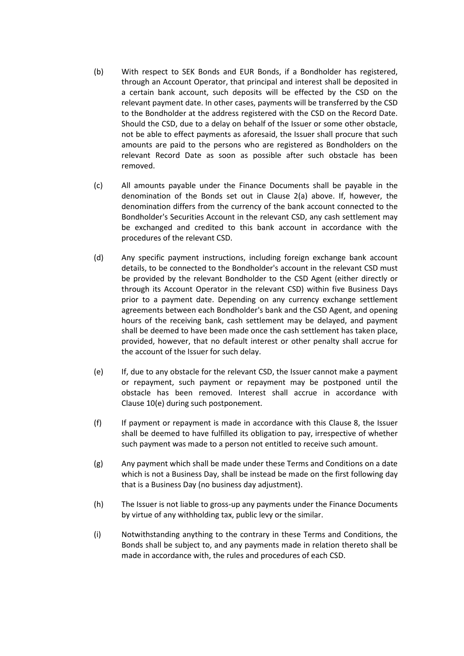- (b) With respect to SEK Bonds and EUR Bonds, if a Bondholder has registered, through an Account Operator, that principal and interest shall be deposited in a certain bank account, such deposits will be effected by the CSD on the relevant payment date. In other cases, payments will be transferred by the CSD to the Bondholder at the address registered with the CSD on the Record Date. Should the CSD, due to a delay on behalf of the Issuer or some other obstacle, not be able to effect payments as aforesaid, the Issuer shall procure that such amounts are paid to the persons who are registered as Bondholders on the relevant Record Date as soon as possible after such obstacle has been removed.
- (c) All amounts payable under the Finance Documents shall be payable in the denomination of the Bonds set out in Clause [2\(a\)](#page-11-2) above. If, however, the denomination differs from the currency of the bank account connected to the Bondholder's Securities Account in the relevant CSD, any cash settlement may be exchanged and credited to this bank account in accordance with the procedures of the relevant CSD.
- (d) Any specific payment instructions, including foreign exchange bank account details, to be connected to the Bondholder's account in the relevant CSD must be provided by the relevant Bondholder to the CSD Agent (either directly or through its Account Operator in the relevant CSD) within five Business Days prior to a payment date. Depending on any currency exchange settlement agreements between each Bondholder's bank and the CSD Agent, and opening hours of the receiving bank, cash settlement may be delayed, and payment shall be deemed to have been made once the cash settlement has taken place, provided, however, that no default interest or other penalty shall accrue for the account of the Issuer for such delay.
- (e) If, due to any obstacle for the relevant CSD, the Issuer cannot make a payment or repayment, such payment or repayment may be postponed until the obstacle has been removed. Interest shall accrue in accordance with Clause [10\(e\)](#page-18-3) during such postponement.
- (f) If payment or repayment is made in accordance with this Clause [8,](#page-15-1) the Issuer shall be deemed to have fulfilled its obligation to pay, irrespective of whether such payment was made to a person not entitled to receive such amount.
- (g) Any payment which shall be made under these Terms and Conditions on a date which is not a Business Day, shall be instead be made on the first following day that is a Business Day (no business day adjustment).
- (h) The Issuer is not liable to gross-up any payments under the Finance Documents by virtue of any withholding tax, public levy or the similar.
- (i) Notwithstanding anything to the contrary in these Terms and Conditions, the Bonds shall be subject to, and any payments made in relation thereto shall be made in accordance with, the rules and procedures of each CSD.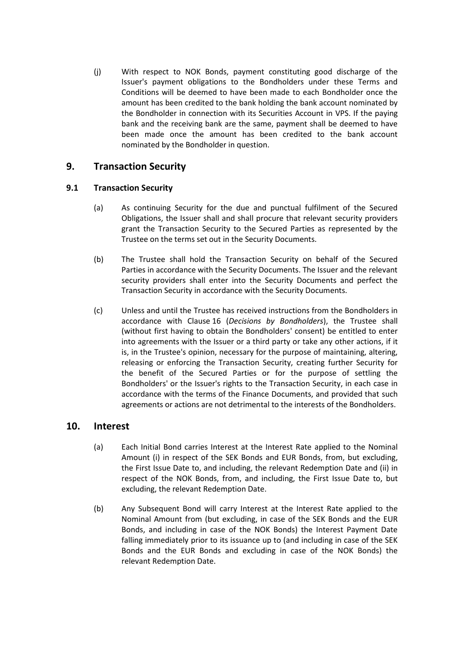(j) With respect to NOK Bonds, payment constituting good discharge of the Issuer's payment obligations to the Bondholders under these Terms and Conditions will be deemed to have been made to each Bondholder once the amount has been credited to the bank holding the bank account nominated by the Bondholder in connection with its Securities Account in VPS. If the paying bank and the receiving bank are the same, payment shall be deemed to have been made once the amount has been credited to the bank account nominated by the Bondholder in question.

## <span id="page-17-0"></span>**9. Transaction Security**

### **9.1 Transaction Security**

- (a) As continuing Security for the due and punctual fulfilment of the Secured Obligations, the Issuer shall and shall procure that relevant security providers grant the Transaction Security to the Secured Parties as represented by the Trustee on the terms set out in the Security Documents.
- (b) The Trustee shall hold the Transaction Security on behalf of the Secured Parties in accordance with the Security Documents. The Issuer and the relevant security providers shall enter into the Security Documents and perfect the Transaction Security in accordance with the Security Documents.
- (c) Unless and until the Trustee has received instructions from the Bondholders in accordance with Clause [16](#page-27-0) (*[Decisions by Bondholders](#page-27-0)*), the Trustee shall (without first having to obtain the Bondholders' consent) be entitled to enter into agreements with the Issuer or a third party or take any other actions, if it is, in the Trustee's opinion, necessary for the purpose of maintaining, altering, releasing or enforcing the Transaction Security, creating further Security for the benefit of the Secured Parties or for the purpose of settling the Bondholders' or the Issuer's rights to the Transaction Security, in each case in accordance with the terms of the Finance Documents, and provided that such agreements or actions are not detrimental to the interests of the Bondholders.

## <span id="page-17-2"></span><span id="page-17-1"></span>**10. Interest**

- (a) Each Initial Bond carries Interest at the Interest Rate applied to the Nominal Amount (i) in respect of the SEK Bonds and EUR Bonds, from, but excluding, the First Issue Date to, and including, the relevant Redemption Date and (ii) in respect of the NOK Bonds, from, and including, the First Issue Date to, but excluding, the relevant Redemption Date.
- (b) Any Subsequent Bond will carry Interest at the Interest Rate applied to the Nominal Amount from (but excluding, in case of the SEK Bonds and the EUR Bonds, and including in case of the NOK Bonds) the Interest Payment Date falling immediately prior to its issuance up to (and including in case of the SEK Bonds and the EUR Bonds and excluding in case of the NOK Bonds) the relevant Redemption Date.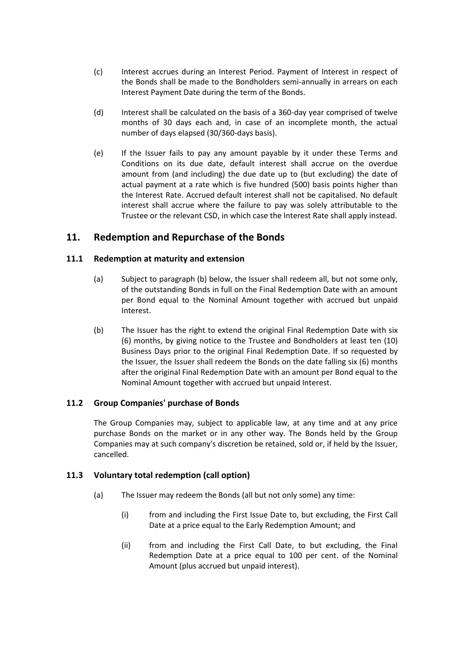- <span id="page-18-2"></span>(c) Interest accrues during an Interest Period. Payment of Interest in respect of the Bonds shall be made to the Bondholders semi-annually in arrears on each Interest Payment Date during the term of the Bonds.
- (d) Interest shall be calculated on the basis of a 360-day year comprised of twelve months of 30 days each and, in case of an incomplete month, the actual number of days elapsed (30/360-days basis).
- <span id="page-18-3"></span>(e) If the Issuer fails to pay any amount payable by it under these Terms and Conditions on its due date, default interest shall accrue on the overdue amount from (and including) the due date up to (but excluding) the date of actual payment at a rate which is five hundred (500) basis points higher than the Interest Rate. Accrued default interest shall not be capitalised. No default interest shall accrue where the failure to pay was solely attributable to the Trustee or the relevant CSD, in which case the Interest Rate shall apply instead.

## <span id="page-18-0"></span>**11. Redemption and Repurchase of the Bonds**

## **11.1 Redemption at maturity and extension**

- (a) Subject to paragraph (b) below, the Issuer shall redeem all, but not some only, of the outstanding Bonds in full on the Final Redemption Date with an amount per Bond equal to the Nominal Amount together with accrued but unpaid Interest.
- <span id="page-18-1"></span>(b) The Issuer has the right to extend the original Final Redemption Date with six (6) months, by giving notice to the Trustee and Bondholders at least ten (10) Business Days prior to the original Final Redemption Date. If so requested by the Issuer, the Issuer shall redeem the Bonds on the date falling six (6) months after the original Final Redemption Date with an amount per Bond equal to the Nominal Amount together with accrued but unpaid Interest.

### **11.2 Group Companies' purchase of Bonds**

The Group Companies may, subject to applicable law, at any time and at any price purchase Bonds on the market or in any other way. The Bonds held by the Group Companies may at such company's discretion be retained, sold or, if held by the Issuer, cancelled.

### <span id="page-18-4"></span>**11.3 Voluntary total redemption (call option)**

- (a) The Issuer may redeem the Bonds (all but not only some) any time:
	- (i) from and including the First Issue Date to, but excluding, the First Call Date at a price equal to the Early Redemption Amount; and
	- (ii) from and including the First Call Date, to but excluding, the Final Redemption Date at a price equal to 100 per cent. of the Nominal Amount (plus accrued but unpaid interest).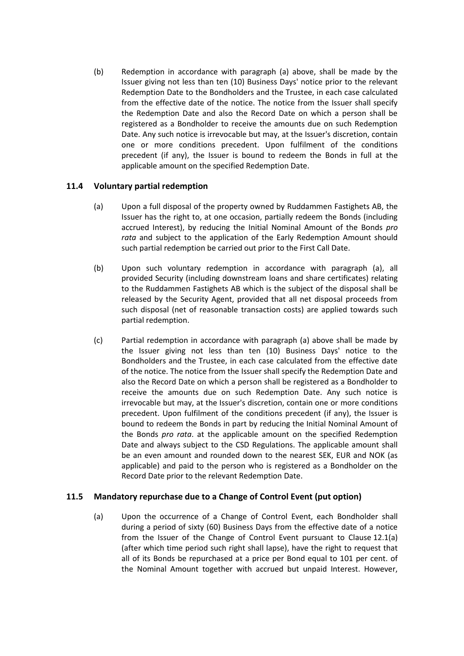(b) Redemption in accordance with paragraph (a) above, shall be made by the Issuer giving not less than ten (10) Business Days' notice prior to the relevant Redemption Date to the Bondholders and the Trustee, in each case calculated from the effective date of the notice. The notice from the Issuer shall specify the Redemption Date and also the Record Date on which a person shall be registered as a Bondholder to receive the amounts due on such Redemption Date. Any such notice is irrevocable but may, at the Issuer's discretion, contain one or more conditions precedent. Upon fulfilment of the conditions precedent (if any), the Issuer is bound to redeem the Bonds in full at the applicable amount on the specified Redemption Date.

## <span id="page-19-0"></span>**11.4 Voluntary partial redemption**

- (a) Upon a full disposal of the property owned by Ruddammen Fastighets AB, the Issuer has the right to, at one occasion, partially redeem the Bonds (including accrued Interest), by reducing the Initial Nominal Amount of the Bonds *pro rata* and subject to the application of the Early Redemption Amount should such partial redemption be carried out prior to the First Call Date.
- (b) Upon such voluntary redemption in accordance with paragraph (a), all provided Security (including downstream loans and share certificates) relating to the Ruddammen Fastighets AB which is the subject of the disposal shall be released by the Security Agent, provided that all net disposal proceeds from such disposal (net of reasonable transaction costs) are applied towards such partial redemption.
- (c) Partial redemption in accordance with paragraph (a) above shall be made by the Issuer giving not less than ten (10) Business Days' notice to the Bondholders and the Trustee, in each case calculated from the effective date of the notice. The notice from the Issuer shall specify the Redemption Date and also the Record Date on which a person shall be registered as a Bondholder to receive the amounts due on such Redemption Date. Any such notice is irrevocable but may, at the Issuer's discretion, contain one or more conditions precedent. Upon fulfilment of the conditions precedent (if any), the Issuer is bound to redeem the Bonds in part by reducing the Initial Nominal Amount of the Bonds *pro rata*. at the applicable amount on the specified Redemption Date and always subject to the CSD Regulations. The applicable amount shall be an even amount and rounded down to the nearest SEK, EUR and NOK (as applicable) and paid to the person who is registered as a Bondholder on the Record Date prior to the relevant Redemption Date.

### <span id="page-19-1"></span>**11.5 Mandatory repurchase due to a Change of Control Event (put option)**

(a) Upon the occurrence of a Change of Control Event, each Bondholder shall during a period of sixty (60) Business Days from the effective date of a notice from the Issuer of the Change of Control Event pursuant to Clause [12.1\(a\)](#page-20-1) (after which time period such right shall lapse), have the right to request that all of its Bonds be repurchased at a price per Bond equal to 101 per cent. of the Nominal Amount together with accrued but unpaid Interest. However,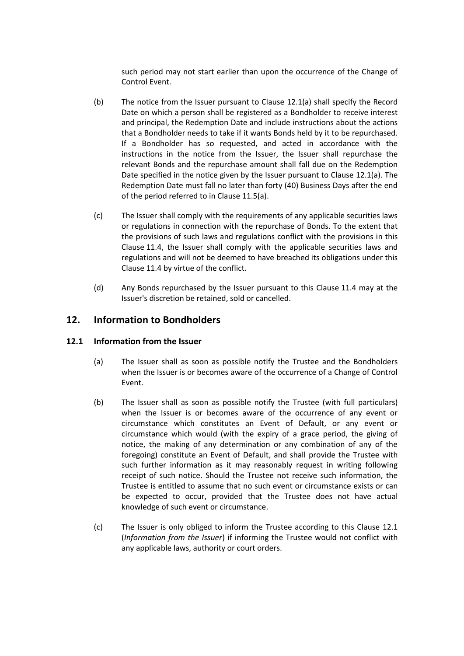such period may not start earlier than upon the occurrence of the Change of Control Event.

- (b) The notice from the Issuer pursuant to Clause [12.1\(a\)](#page-20-1) shall specify the Record Date on which a person shall be registered as a Bondholder to receive interest and principal, the Redemption Date and include instructions about the actions that a Bondholder needs to take if it wants Bonds held by it to be repurchased. If a Bondholder has so requested, and acted in accordance with the instructions in the notice from the Issuer, the Issuer shall repurchase the relevant Bonds and the repurchase amount shall fall due on the Redemption Date specified in the notice given by the Issuer pursuant to Clause [12.1\(a\).](#page-20-1) The Redemption Date must fall no later than forty (40) Business Days after the end of the period referred to in Clause [11.5\(a\).](#page-19-1)
- (c) The Issuer shall comply with the requirements of any applicable securities laws or regulations in connection with the repurchase of Bonds. To the extent that the provisions of such laws and regulations conflict with the provisions in this Clause [11.4,](#page-19-0) the Issuer shall comply with the applicable securities laws and regulations and will not be deemed to have breached its obligations under this Clause [11.4](#page-19-0) by virtue of the conflict.
- (d) Any Bonds repurchased by the Issuer pursuant to this Clause [11.4](#page-19-0) may at the Issuer's discretion be retained, sold or cancelled.

## <span id="page-20-0"></span>**12. Information to Bondholders**

### <span id="page-20-2"></span><span id="page-20-1"></span>**12.1 Information from the Issuer**

- (a) The Issuer shall as soon as possible notify the Trustee and the Bondholders when the Issuer is or becomes aware of the occurrence of a Change of Control Event.
- <span id="page-20-3"></span>(b) The Issuer shall as soon as possible notify the Trustee (with full particulars) when the Issuer is or becomes aware of the occurrence of any event or circumstance which constitutes an Event of Default, or any event or circumstance which would (with the expiry of a grace period, the giving of notice, the making of any determination or any combination of any of the foregoing) constitute an Event of Default, and shall provide the Trustee with such further information as it may reasonably request in writing following receipt of such notice. Should the Trustee not receive such information, the Trustee is entitled to assume that no such event or circumstance exists or can be expected to occur, provided that the Trustee does not have actual knowledge of such event or circumstance.
- (c) The Issuer is only obliged to inform the Trustee according to this Clause [12.1](#page-20-2) (*[Information from the Issuer](#page-20-2)*) if informing the Trustee would not conflict with any applicable laws, authority or court orders.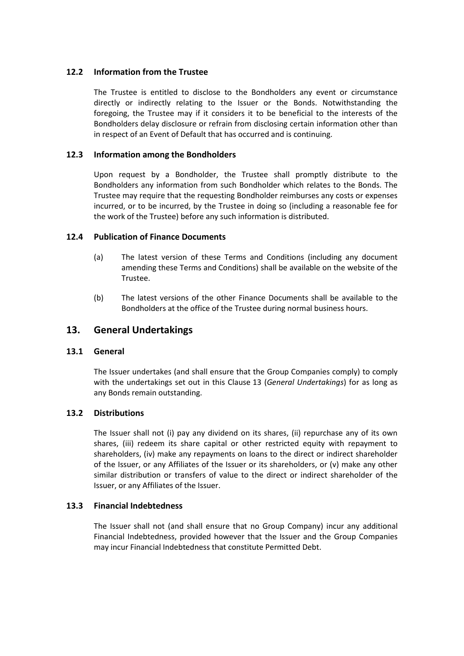### **12.2 Information from the Trustee**

The Trustee is entitled to disclose to the Bondholders any event or circumstance directly or indirectly relating to the Issuer or the Bonds. Notwithstanding the foregoing, the Trustee may if it considers it to be beneficial to the interests of the Bondholders delay disclosure or refrain from disclosing certain information other than in respect of an Event of Default that has occurred and is continuing.

### <span id="page-21-1"></span>**12.3 Information among the Bondholders**

Upon request by a Bondholder, the Trustee shall promptly distribute to the Bondholders any information from such Bondholder which relates to the Bonds. The Trustee may require that the requesting Bondholder reimburses any costs or expenses incurred, or to be incurred, by the Trustee in doing so (including a reasonable fee for the work of the Trustee) before any such information is distributed.

### **12.4 Publication of Finance Documents**

- (a) The latest version of these Terms and Conditions (including any document amending these Terms and Conditions) shall be available on the website of the Trustee.
- (b) The latest versions of the other Finance Documents shall be available to the Bondholders at the office of the Trustee during normal business hours.

## <span id="page-21-0"></span>**13. General Undertakings**

### **13.1 General**

The Issuer undertakes (and shall ensure that the Group Companies comply) to comply with the undertakings set out in this Clause [13](#page-21-0) (*[General Undertakings](#page-21-0)*) for as long as any Bonds remain outstanding.

### **13.2 Distributions**

The Issuer shall not (i) pay any dividend on its shares, (ii) repurchase any of its own shares, (iii) redeem its share capital or other restricted equity with repayment to shareholders, (iv) make any repayments on loans to the direct or indirect shareholder of the Issuer, or any Affiliates of the Issuer or its shareholders, or (v) make any other similar distribution or transfers of value to the direct or indirect shareholder of the Issuer, or any Affiliates of the Issuer.

### **13.3 Financial Indebtedness**

The Issuer shall not (and shall ensure that no Group Company) incur any additional Financial Indebtedness, provided however that the Issuer and the Group Companies may incur Financial Indebtedness that constitute Permitted Debt.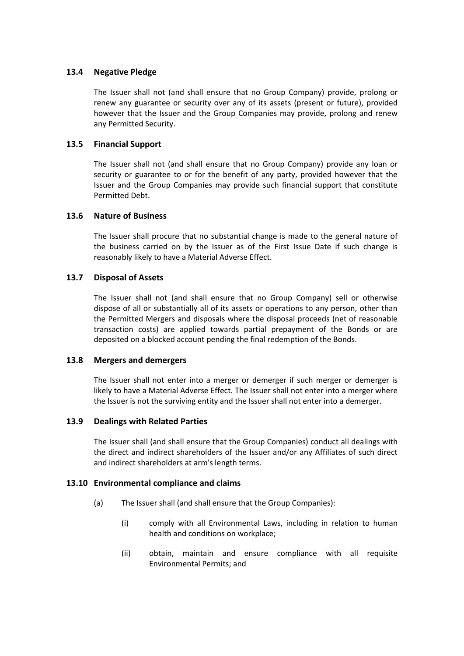### **13.4 Negative Pledge**

The Issuer shall not (and shall ensure that no Group Company) provide, prolong or renew any guarantee or security over any of its assets (present or future), provided however that the Issuer and the Group Companies may provide, prolong and renew any Permitted Security.

#### **13.5 Financial Support**

The Issuer shall not (and shall ensure that no Group Company) provide any loan or security or guarantee to or for the benefit of any party, provided however that the Issuer and the Group Companies may provide such financial support that constitute Permitted Debt.

#### **13.6 Nature of Business**

The Issuer shall procure that no substantial change is made to the general nature of the business carried on by the Issuer as of the First Issue Date if such change is reasonably likely to have a Material Adverse Effect.

#### **13.7 Disposal of Assets**

The Issuer shall not (and shall ensure that no Group Company) sell or otherwise dispose of all or substantially all of its assets or operations to any person, other than the Permitted Mergers and disposals where the disposal proceeds (net of reasonable transaction costs) are applied towards partial prepayment of the Bonds or are deposited on a blocked account pending the final redemption of the Bonds.

#### **13.8 Mergers and demergers**

The Issuer shall not enter into a merger or demerger if such merger or demerger is likely to have a Material Adverse Effect. The Issuer shall not enter into a merger where the Issuer is not the surviving entity and the Issuer shall not enter into a demerger.

#### **13.9 Dealings with Related Parties**

The Issuer shall (and shall ensure that the Group Companies) conduct all dealings with the direct and indirect shareholders of the Issuer and/or any Affiliates of such direct and indirect shareholders at arm's length terms.

#### **13.10 Environmental compliance and claims**

- (a) The Issuer shall (and shall ensure that the Group Companies):
	- (i) comply with all Environmental Laws, including in relation to human health and conditions on workplace;
	- (ii) obtain, maintain and ensure compliance with all requisite Environmental Permits; and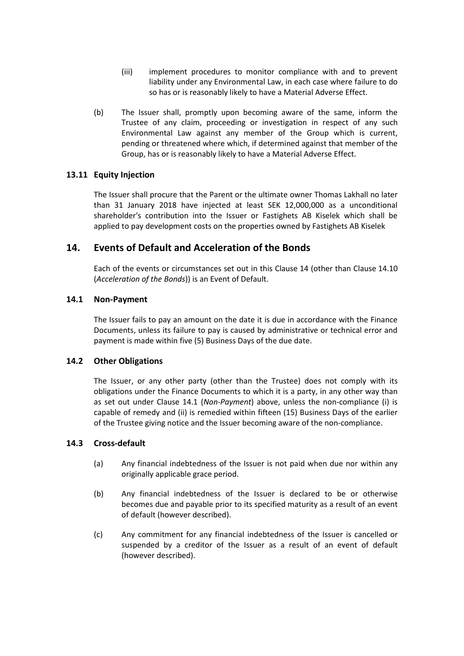- (iii) implement procedures to monitor compliance with and to prevent liability under any Environmental Law, in each case where failure to do so has or is reasonably likely to have a Material Adverse Effect.
- (b) The Issuer shall, promptly upon becoming aware of the same, inform the Trustee of any claim, proceeding or investigation in respect of any such Environmental Law against any member of the Group which is current, pending or threatened where which, if determined against that member of the Group, has or is reasonably likely to have a Material Adverse Effect.

### **13.11 Equity Injection**

The Issuer shall procure that the Parent or the ultimate owner Thomas Lakhall no later than 31 January 2018 have injected at least SEK 12,000,000 as a unconditional shareholder's contribution into the Issuer or Fastighets AB Kiselek which shall be applied to pay development costs on the properties owned by Fastighets AB Kiselek

## <span id="page-23-0"></span>**14. Events of Default and Acceleration of the Bonds**

Each of the events or circumstances set out in this Clause [14](#page-23-0) (other than Clause [14.10](#page-25-1) (*[Acceleration of the Bonds](#page-25-1)*)) is an Event of Default.

#### <span id="page-23-1"></span>**14.1 Non-Payment**

The Issuer fails to pay an amount on the date it is due in accordance with the Finance Documents, unless its failure to pay is caused by administrative or technical error and payment is made within five (5) Business Days of the due date.

#### **14.2 Other Obligations**

The Issuer, or any other party (other than the Trustee) does not comply with its obligations under the Finance Documents to which it is a party, in any other way than as set out under Clause [14.1](#page-23-1) (*[Non-Payment](#page-23-1)*) above, unless the non-compliance (i) is capable of remedy and (ii) is remedied within fifteen (15) Business Days of the earlier of the Trustee giving notice and the Issuer becoming aware of the non-compliance.

#### <span id="page-23-2"></span>**14.3 Cross-default**

- (a) Any financial indebtedness of the Issuer is not paid when due nor within any originally applicable grace period.
- (b) Any financial indebtedness of the Issuer is declared to be or otherwise becomes due and payable prior to its specified maturity as a result of an event of default (however described).
- (c) Any commitment for any financial indebtedness of the Issuer is cancelled or suspended by a creditor of the Issuer as a result of an event of default (however described).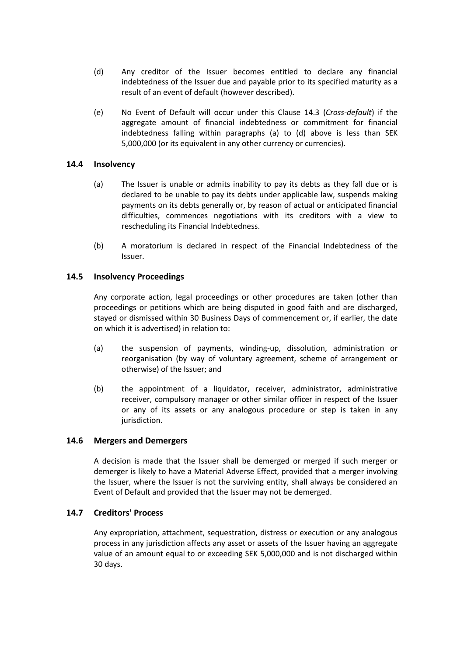- (d) Any creditor of the Issuer becomes entitled to declare any financial indebtedness of the Issuer due and payable prior to its specified maturity as a result of an event of default (however described).
- (e) No Event of Default will occur under this Clause [14.3](#page-23-2) (*[Cross-default](#page-23-2)*) if the aggregate amount of financial indebtedness or commitment for financial indebtedness falling within paragraphs (a) to (d) above is less than SEK 5,000,000 (or its equivalent in any other currency or currencies).

#### **14.4 Insolvency**

- (a) The Issuer is unable or admits inability to pay its debts as they fall due or is declared to be unable to pay its debts under applicable law, suspends making payments on its debts generally or, by reason of actual or anticipated financial difficulties, commences negotiations with its creditors with a view to rescheduling its Financial Indebtedness.
- (b) A moratorium is declared in respect of the Financial Indebtedness of the Issuer.

#### **14.5 Insolvency Proceedings**

Any corporate action, legal proceedings or other procedures are taken (other than proceedings or petitions which are being disputed in good faith and are discharged, stayed or dismissed within 30 Business Days of commencement or, if earlier, the date on which it is advertised) in relation to:

- (a) the suspension of payments, winding-up, dissolution, administration or reorganisation (by way of voluntary agreement, scheme of arrangement or otherwise) of the Issuer; and
- (b) the appointment of a liquidator, receiver, administrator, administrative receiver, compulsory manager or other similar officer in respect of the Issuer or any of its assets or any analogous procedure or step is taken in any jurisdiction.

### <span id="page-24-0"></span>**14.6 Mergers and Demergers**

A decision is made that the Issuer shall be demerged or merged if such merger or demerger is likely to have a Material Adverse Effect, provided that a merger involving the Issuer, where the Issuer is not the surviving entity, shall always be considered an Event of Default and provided that the Issuer may not be demerged.

#### **14.7 Creditors' Process**

Any expropriation, attachment, sequestration, distress or execution or any analogous process in any jurisdiction affects any asset or assets of the Issuer having an aggregate value of an amount equal to or exceeding SEK 5,000,000 and is not discharged within 30 days.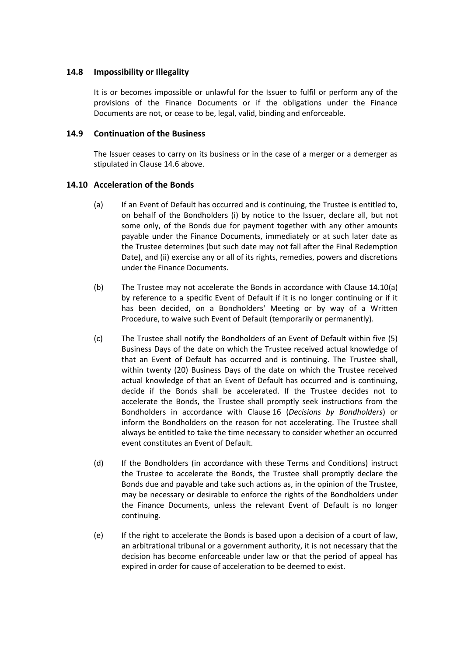### **14.8 Impossibility or Illegality**

It is or becomes impossible or unlawful for the Issuer to fulfil or perform any of the provisions of the Finance Documents or if the obligations under the Finance Documents are not, or cease to be, legal, valid, binding and enforceable.

#### <span id="page-25-0"></span>**14.9 Continuation of the Business**

The Issuer ceases to carry on its business or in the case of a merger or a demerger as stipulated in Clause [14.6](#page-24-0) above.

#### <span id="page-25-2"></span><span id="page-25-1"></span>**14.10 Acceleration of the Bonds**

- (a) If an Event of Default has occurred and is continuing, the Trustee is entitled to, on behalf of the Bondholders (i) by notice to the Issuer, declare all, but not some only, of the Bonds due for payment together with any other amounts payable under the Finance Documents, immediately or at such later date as the Trustee determines (but such date may not fall after the Final Redemption Date), and (ii) exercise any or all of its rights, remedies, powers and discretions under the Finance Documents.
- (b) The Trustee may not accelerate the Bonds in accordance with Clause [14.10](#page-25-1)[\(a\)](#page-25-2) by reference to a specific Event of Default if it is no longer continuing or if it has been decided, on a Bondholders' Meeting or by way of a Written Procedure, to waive such Event of Default (temporarily or permanently).
- <span id="page-25-3"></span>(c) The Trustee shall notify the Bondholders of an Event of Default within five (5) Business Days of the date on which the Trustee received actual knowledge of that an Event of Default has occurred and is continuing. The Trustee shall, within twenty (20) Business Days of the date on which the Trustee received actual knowledge of that an Event of Default has occurred and is continuing, decide if the Bonds shall be accelerated. If the Trustee decides not to accelerate the Bonds, the Trustee shall promptly seek instructions from the Bondholders in accordance with Clause [16](#page-27-0) (*[Decisions by Bondholders](#page-27-0)*) or inform the Bondholders on the reason for not accelerating. The Trustee shall always be entitled to take the time necessary to consider whether an occurred event constitutes an Event of Default.
- (d) If the Bondholders (in accordance with these Terms and Conditions) instruct the Trustee to accelerate the Bonds, the Trustee shall promptly declare the Bonds due and payable and take such actions as, in the opinion of the Trustee, may be necessary or desirable to enforce the rights of the Bondholders under the Finance Documents, unless the relevant Event of Default is no longer continuing.
- (e) If the right to accelerate the Bonds is based upon a decision of a court of law, an arbitrational tribunal or a government authority, it is not necessary that the decision has become enforceable under law or that the period of appeal has expired in order for cause of acceleration to be deemed to exist.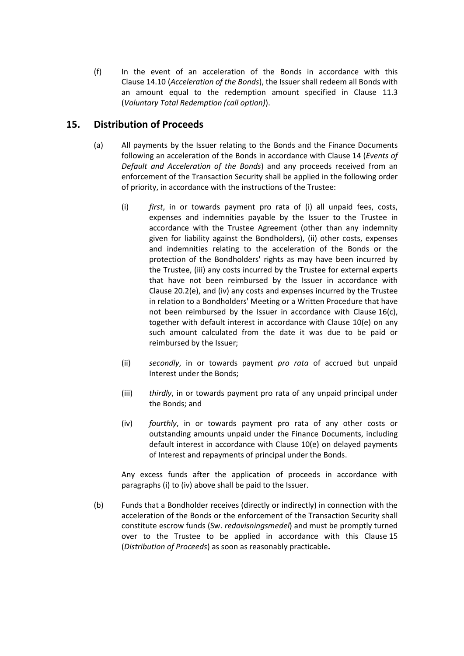(f) In the event of an acceleration of the Bonds in accordance with this Clause [14.10](#page-25-1) (*[Acceleration of the Bonds](#page-25-1)*), the Issuer shall redeem all Bonds with an amount equal to the redemption amount specified in Clause [11.3](#page-18-4) (*Voluntary Total Redemption (call option)*).

## <span id="page-26-0"></span>**15. Distribution of Proceeds**

- (a) All payments by the Issuer relating to the Bonds and the Finance Documents following an acceleration of the Bonds in accordance with Clause [14](#page-23-0) (*[Events of](#page-23-0)  [Default and Acceleration of the Bonds](#page-23-0)*) and any proceeds received from an enforcement of the Transaction Security shall be applied in the following order of priority, in accordance with the instructions of the Trustee:
	- (i) *first*, in or towards payment pro rata of (i) all unpaid fees, costs, expenses and indemnities payable by the Issuer to the Trustee in accordance with the Trustee Agreement (other than any indemnity given for liability against the Bondholders), (ii) other costs, expenses and indemnities relating to the acceleration of the Bonds or the protection of the Bondholders' rights as may have been incurred by the Trustee, (iii) any costs incurred by the Trustee for external experts that have not been reimbursed by the Issuer in accordance with Clause [20.2\(e\),](#page-33-0) and (iv) any costs and expenses incurred by the Trustee in relation to a Bondholders' Meeting or a Written Procedure that have not been reimbursed by the Issuer in accordance with Clause [16\(c\),](#page-27-1) together with default interest in accordance with Clause [10\(e\)](#page-18-3) on any such amount calculated from the date it was due to be paid or reimbursed by the Issuer;
	- (ii) *secondly*, in or towards payment *pro rata* of accrued but unpaid Interest under the Bonds;
	- (iii) *thirdly*, in or towards payment pro rata of any unpaid principal under the Bonds; and
	- (iv) *fourthly*, in or towards payment pro rata of any other costs or outstanding amounts unpaid under the Finance Documents, including default interest in accordance with Clause [10\(e\)](#page-18-3) on delayed payments of Interest and repayments of principal under the Bonds.

Any excess funds after the application of proceeds in accordance with paragraphs (i) to (iv) above shall be paid to the Issuer.

(b) Funds that a Bondholder receives (directly or indirectly) in connection with the acceleration of the Bonds or the enforcement of the Transaction Security shall constitute escrow funds (Sw. *redovisningsmedel*) and must be promptly turned over to the Trustee to be applied in accordance with this Clause [15](#page-26-0) (*[Distribution of Proceeds](#page-26-0)*) as soon as reasonably practicable**.**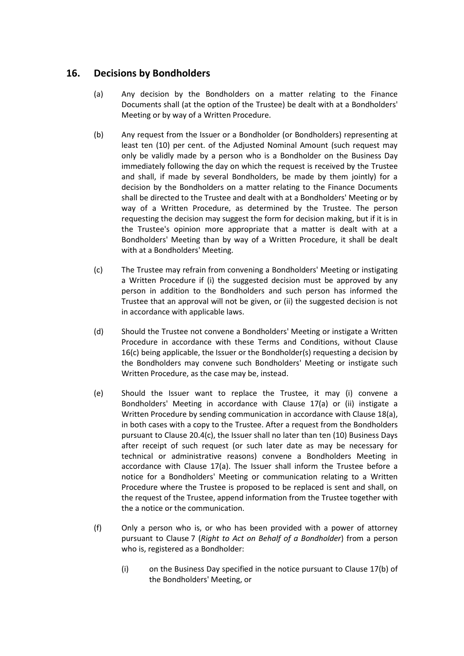## <span id="page-27-0"></span>**16. Decisions by Bondholders**

- (a) Any decision by the Bondholders on a matter relating to the Finance Documents shall (at the option of the Trustee) be dealt with at a Bondholders' Meeting or by way of a Written Procedure.
- (b) Any request from the Issuer or a Bondholder (or Bondholders) representing at least ten (10) per cent. of the Adjusted Nominal Amount (such request may only be validly made by a person who is a Bondholder on the Business Day immediately following the day on which the request is received by the Trustee and shall, if made by several Bondholders, be made by them jointly) for a decision by the Bondholders on a matter relating to the Finance Documents shall be directed to the Trustee and dealt with at a Bondholders' Meeting or by way of a Written Procedure, as determined by the Trustee. The person requesting the decision may suggest the form for decision making, but if it is in the Trustee's opinion more appropriate that a matter is dealt with at a Bondholders' Meeting than by way of a Written Procedure, it shall be dealt with at a Bondholders' Meeting.
- <span id="page-27-1"></span>(c) The Trustee may refrain from convening a Bondholders' Meeting or instigating a Written Procedure if (i) the suggested decision must be approved by any person in addition to the Bondholders and such person has informed the Trustee that an approval will not be given, or (ii) the suggested decision is not in accordance with applicable laws.
- (d) Should the Trustee not convene a Bondholders' Meeting or instigate a Written Procedure in accordance with these Terms and Conditions, without Clause [16](#page-27-0)[\(c\)](#page-27-1) being applicable, the Issuer or the Bondholder(s) requesting a decision by the Bondholders may convene such Bondholders' Meeting or instigate such Written Procedure, as the case may be, instead.
- (e) Should the Issuer want to replace the Trustee, it may (i) convene a Bondholders' Meeting in accordance with Clause [17\(a\)](#page-30-1) or (ii) instigate a Written Procedure by sending communication in accordance with Clause [18\(a\),](#page-31-2) in both cases with a copy to the Trustee. After a request from the Bondholders pursuant to Clause [20.4\(c\),](#page-35-0) the Issuer shall no later than ten (10) Business Days after receipt of such request (or such later date as may be necessary for technical or administrative reasons) convene a Bondholders Meeting in accordance with Clause [17\(a\).](#page-30-1) The Issuer shall inform the Trustee before a notice for a Bondholders' Meeting or communication relating to a Written Procedure where the Trustee is proposed to be replaced is sent and shall, on the request of the Trustee, append information from the Trustee together with the a notice or the communication.
- (f) Only a person who is, or who has been provided with a power of attorney pursuant to Clause [7](#page-15-0) (*[Right to Act on Behalf of a Bondholder](#page-15-0)*) from a person who is, registered as a Bondholder:
	- (i) on the Business Day specified in the notice pursuant to Claus[e 17\(b\)](#page-30-2) of the Bondholders' Meeting, or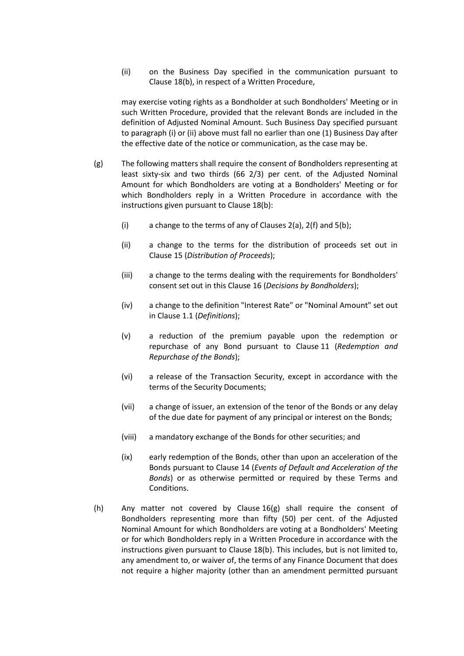(ii) on the Business Day specified in the communication pursuant to Clause [18\(b\),](#page-31-3) in respect of a Written Procedure,

may exercise voting rights as a Bondholder at such Bondholders' Meeting or in such Written Procedure, provided that the relevant Bonds are included in the definition of Adjusted Nominal Amount. Such Business Day specified pursuant to paragraph (i) or (ii) above must fall no earlier than one (1) Business Day after the effective date of the notice or communication, as the case may be.

- <span id="page-28-0"></span>(g) The following matters shall require the consent of Bondholders representing at least sixty-six and two thirds (66 2/3) per cent. of the Adjusted Nominal Amount for which Bondholders are voting at a Bondholders' Meeting or for which Bondholders reply in a Written Procedure in accordance with the instructions given pursuant to Clause [18\(b\):](#page-31-3)
	- (i) a change to the terms of any of Clauses [2\(a\),](#page-11-2) [2\(f\)](#page-11-3) and [5\(b\);](#page-14-2)
	- (ii) a change to the terms for the distribution of proceeds set out in Clause [15](#page-26-0) (*[Distribution of Proceeds](#page-26-0)*);
	- (iii) a change to the terms dealing with the requirements for Bondholders' consent set out in this Clause [16](#page-27-0) (*[Decisions by Bondholders](#page-27-0)*);
	- (iv) a change to the definition "Interest Rate" or "Nominal Amount" set out in Clause [1.1](#page-2-1) (*Definitions*);
	- (v) a reduction of the premium payable upon the redemption or repurchase of any Bond pursuant to Clause [11](#page-18-0) (*[Redemption and](#page-18-0)  [Repurchase of the Bonds](#page-18-0)*);
	- (vi) a release of the Transaction Security, except in accordance with the terms of the Security Documents;
	- (vii) a change of issuer, an extension of the tenor of the Bonds or any delay of the due date for payment of any principal or interest on the Bonds;
	- (viii) a mandatory exchange of the Bonds for other securities; and
	- (ix) early redemption of the Bonds, other than upon an acceleration of the Bonds pursuant to Clause [14](#page-23-0) (*[Events of Default and Acceleration of the](#page-23-0)  [Bonds](#page-23-0)*) or as otherwise permitted or required by these Terms and Conditions.
- <span id="page-28-1"></span>(h) Any matter not covered by Clause [16\(g\)](#page-28-0) shall require the consent of Bondholders representing more than fifty (50) per cent. of the Adjusted Nominal Amount for which Bondholders are voting at a Bondholders' Meeting or for which Bondholders reply in a Written Procedure in accordance with the instructions given pursuant to Clause [18\(b\).](#page-31-3) This includes, but is not limited to, any amendment to, or waiver of, the terms of any Finance Document that does not require a higher majority (other than an amendment permitted pursuant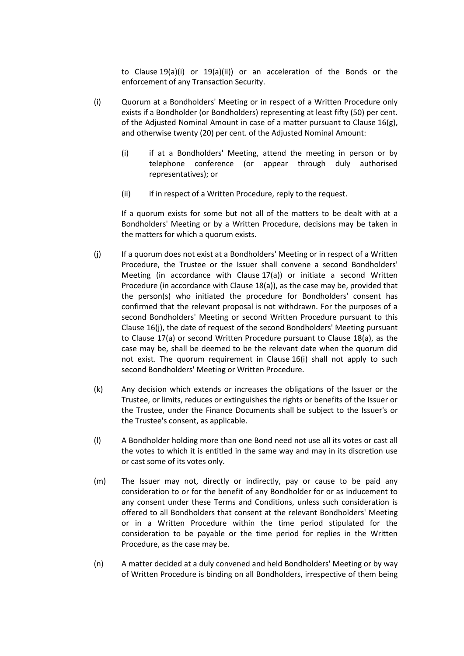to Clause [19\(a\)\(i\)](#page-31-4) or [19\(a\)\(ii\)\)](#page-31-5) or an acceleration of the Bonds or the enforcement of any Transaction Security.

- <span id="page-29-1"></span>(i) Quorum at a Bondholders' Meeting or in respect of a Written Procedure only exists if a Bondholder (or Bondholders) representing at least fifty (50) per cent. of the Adjusted Nominal Amount in case of a matter pursuant to Clause [16\(g\),](#page-28-0) and otherwise twenty (20) per cent. of the Adjusted Nominal Amount:
	- (i) if at a Bondholders' Meeting, attend the meeting in person or by telephone conference (or appear through duly authorised representatives); or
	- (ii) if in respect of a Written Procedure, reply to the request.

If a quorum exists for some but not all of the matters to be dealt with at a Bondholders' Meeting or by a Written Procedure, decisions may be taken in the matters for which a quorum exists.

- <span id="page-29-0"></span>(j) If a quorum does not exist at a Bondholders' Meeting or in respect of a Written Procedure, the Trustee or the Issuer shall convene a second Bondholders' Meeting (in accordance with Clause [17\(a\)\)](#page-30-1) or initiate a second Written Procedure (in accordance with Clause [18\(a\)\)](#page-31-2), as the case may be, provided that the person(s) who initiated the procedure for Bondholders' consent has confirmed that the relevant proposal is not withdrawn. For the purposes of a second Bondholders' Meeting or second Written Procedure pursuant to this Clause [16](#page-27-0)[\(j\),](#page-29-0) the date of request of the second Bondholders' Meeting pursuant to Clause [17\(a\)](#page-30-1) or second Written Procedure pursuant to Clause [18\(a\),](#page-31-2) as the case may be, shall be deemed to be the relevant date when the quorum did not exist. The quorum requirement in Clause [16\(i\)](#page-29-1) shall not apply to such second Bondholders' Meeting or Written Procedure.
- (k) Any decision which extends or increases the obligations of the Issuer or the Trustee, or limits, reduces or extinguishes the rights or benefits of the Issuer or the Trustee, under the Finance Documents shall be subject to the Issuer's or the Trustee's consent, as applicable.
- (l) A Bondholder holding more than one Bond need not use all its votes or cast all the votes to which it is entitled in the same way and may in its discretion use or cast some of its votes only.
- (m) The Issuer may not, directly or indirectly, pay or cause to be paid any consideration to or for the benefit of any Bondholder for or as inducement to any consent under these Terms and Conditions, unless such consideration is offered to all Bondholders that consent at the relevant Bondholders' Meeting or in a Written Procedure within the time period stipulated for the consideration to be payable or the time period for replies in the Written Procedure, as the case may be.
- (n) A matter decided at a duly convened and held Bondholders' Meeting or by way of Written Procedure is binding on all Bondholders, irrespective of them being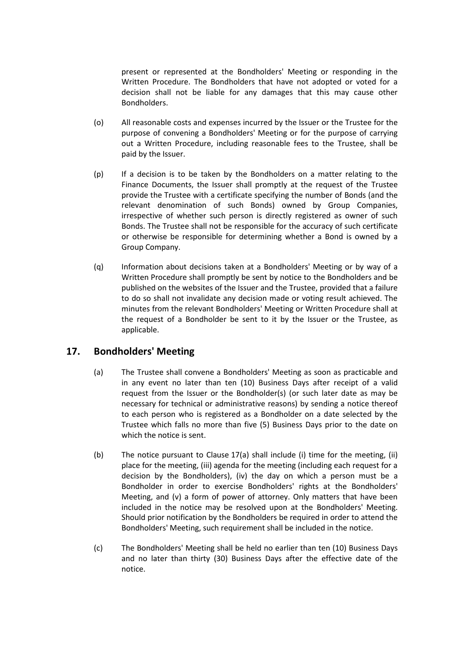present or represented at the Bondholders' Meeting or responding in the Written Procedure. The Bondholders that have not adopted or voted for a decision shall not be liable for any damages that this may cause other Bondholders.

- (o) All reasonable costs and expenses incurred by the Issuer or the Trustee for the purpose of convening a Bondholders' Meeting or for the purpose of carrying out a Written Procedure, including reasonable fees to the Trustee, shall be paid by the Issuer.
- (p) If a decision is to be taken by the Bondholders on a matter relating to the Finance Documents, the Issuer shall promptly at the request of the Trustee provide the Trustee with a certificate specifying the number of Bonds (and the relevant denomination of such Bonds) owned by Group Companies, irrespective of whether such person is directly registered as owner of such Bonds. The Trustee shall not be responsible for the accuracy of such certificate or otherwise be responsible for determining whether a Bond is owned by a Group Company.
- <span id="page-30-3"></span>(q) Information about decisions taken at a Bondholders' Meeting or by way of a Written Procedure shall promptly be sent by notice to the Bondholders and be published on the websites of the Issuer and the Trustee, provided that a failure to do so shall not invalidate any decision made or voting result achieved. The minutes from the relevant Bondholders' Meeting or Written Procedure shall at the request of a Bondholder be sent to it by the Issuer or the Trustee, as applicable.

## <span id="page-30-1"></span><span id="page-30-0"></span>**17. Bondholders' Meeting**

- (a) The Trustee shall convene a Bondholders' Meeting as soon as practicable and in any event no later than ten (10) Business Days after receipt of a valid request from the Issuer or the Bondholder(s) (or such later date as may be necessary for technical or administrative reasons) by sending a notice thereof to each person who is registered as a Bondholder on a date selected by the Trustee which falls no more than five (5) Business Days prior to the date on which the notice is sent.
- <span id="page-30-2"></span>(b) The notice pursuant to Clause [17\(a\)](#page-30-1) shall include (i) time for the meeting, (ii) place for the meeting, (iii) agenda for the meeting (including each request for a decision by the Bondholders), (iv) the day on which a person must be a Bondholder in order to exercise Bondholders' rights at the Bondholders' Meeting, and (v) a form of power of attorney. Only matters that have been included in the notice may be resolved upon at the Bondholders' Meeting. Should prior notification by the Bondholders be required in order to attend the Bondholders' Meeting, such requirement shall be included in the notice.
- (c) The Bondholders' Meeting shall be held no earlier than ten (10) Business Days and no later than thirty (30) Business Days after the effective date of the notice.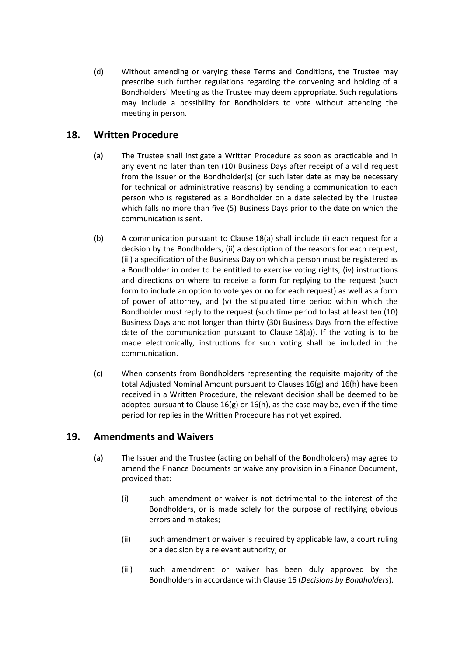(d) Without amending or varying these Terms and Conditions, the Trustee may prescribe such further regulations regarding the convening and holding of a Bondholders' Meeting as the Trustee may deem appropriate. Such regulations may include a possibility for Bondholders to vote without attending the meeting in person.

## <span id="page-31-2"></span><span id="page-31-0"></span>**18. Written Procedure**

- (a) The Trustee shall instigate a Written Procedure as soon as practicable and in any event no later than ten (10) Business Days after receipt of a valid request from the Issuer or the Bondholder(s) (or such later date as may be necessary for technical or administrative reasons) by sending a communication to each person who is registered as a Bondholder on a date selected by the Trustee which falls no more than five (5) Business Days prior to the date on which the communication is sent.
- <span id="page-31-3"></span>(b) A communication pursuant to Clause [18\(a\)](#page-31-2) shall include (i) each request for a decision by the Bondholders, (ii) a description of the reasons for each request, (iii) a specification of the Business Day on which a person must be registered as a Bondholder in order to be entitled to exercise voting rights, (iv) instructions and directions on where to receive a form for replying to the request (such form to include an option to vote yes or no for each request) as well as a form of power of attorney, and (v) the stipulated time period within which the Bondholder must reply to the request (such time period to last at least ten (10) Business Days and not longer than thirty (30) Business Days from the effective date of the communication pursuant to Clause [18\(a\)\)](#page-31-2). If the voting is to be made electronically, instructions for such voting shall be included in the communication.
- (c) When consents from Bondholders representing the requisite majority of the total Adjusted Nominal Amount pursuant to Clauses [16\(g\)](#page-28-0) and [16\(h\)](#page-28-1) have been received in a Written Procedure, the relevant decision shall be deemed to be adopted pursuant to Clause [16\(g\)](#page-28-0) o[r 16\(h\),](#page-28-1) as the case may be, even if the time period for replies in the Written Procedure has not yet expired.

## <span id="page-31-6"></span><span id="page-31-1"></span>**19. Amendments and Waivers**

- <span id="page-31-5"></span><span id="page-31-4"></span>(a) The Issuer and the Trustee (acting on behalf of the Bondholders) may agree to amend the Finance Documents or waive any provision in a Finance Document, provided that:
	- (i) such amendment or waiver is not detrimental to the interest of the Bondholders, or is made solely for the purpose of rectifying obvious errors and mistakes;
	- (ii) such amendment or waiver is required by applicable law, a court ruling or a decision by a relevant authority; or
	- (iii) such amendment or waiver has been duly approved by the Bondholders in accordance with Clause [16](#page-27-0) (*[Decisions by Bondholders](#page-27-0)*).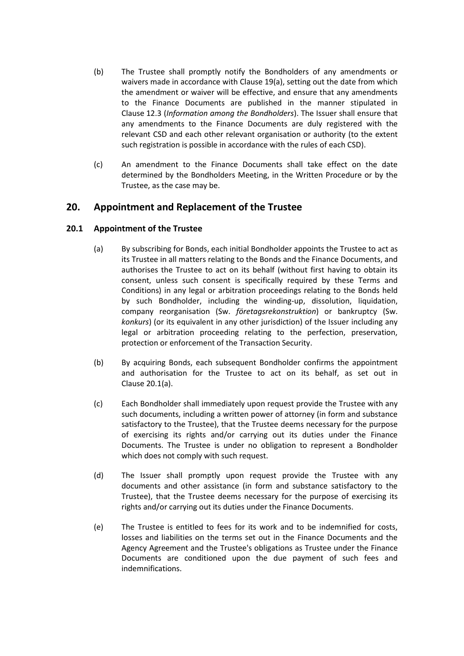- <span id="page-32-4"></span>(b) The Trustee shall promptly notify the Bondholders of any amendments or waivers made in accordance with Clause [19\(a\),](#page-31-6) setting out the date from which the amendment or waiver will be effective, and ensure that any amendments to the Finance Documents are published in the manner stipulated in Clause [12.3](#page-21-1) (*Information among the Bondholders*). The Issuer shall ensure that any amendments to the Finance Documents are duly registered with the relevant CSD and each other relevant organisation or authority (to the extent such registration is possible in accordance with the rules of each CSD).
- (c) An amendment to the Finance Documents shall take effect on the date determined by the Bondholders Meeting, in the Written Procedure or by the Trustee, as the case may be.

## <span id="page-32-0"></span>**20. Appointment and Replacement of the Trustee**

### <span id="page-32-2"></span><span id="page-32-1"></span>**20.1 Appointment of the Trustee**

- (a) By subscribing for Bonds, each initial Bondholder appoints the Trustee to act as its Trustee in all matters relating to the Bonds and the Finance Documents, and authorises the Trustee to act on its behalf (without first having to obtain its consent, unless such consent is specifically required by these Terms and Conditions) in any legal or arbitration proceedings relating to the Bonds held by such Bondholder, including the winding-up, dissolution, liquidation, company reorganisation (Sw. *företagsrekonstruktion*) or bankruptcy (Sw. *konkurs*) (or its equivalent in any other jurisdiction) of the Issuer including any legal or arbitration proceeding relating to the perfection, preservation, protection or enforcement of the Transaction Security.
- (b) By acquiring Bonds, each subsequent Bondholder confirms the appointment and authorisation for the Trustee to act on its behalf, as set out in Clause [20.1](#page-32-1)[\(a\).](#page-32-2)
- <span id="page-32-3"></span>(c) Each Bondholder shall immediately upon request provide the Trustee with any such documents, including a written power of attorney (in form and substance satisfactory to the Trustee), that the Trustee deems necessary for the purpose of exercising its rights and/or carrying out its duties under the Finance Documents. The Trustee is under no obligation to represent a Bondholder which does not comply with such request.
- (d) The Issuer shall promptly upon request provide the Trustee with any documents and other assistance (in form and substance satisfactory to the Trustee), that the Trustee deems necessary for the purpose of exercising its rights and/or carrying out its duties under the Finance Documents.
- (e) The Trustee is entitled to fees for its work and to be indemnified for costs, losses and liabilities on the terms set out in the Finance Documents and the Agency Agreement and the Trustee's obligations as Trustee under the Finance Documents are conditioned upon the due payment of such fees and indemnifications.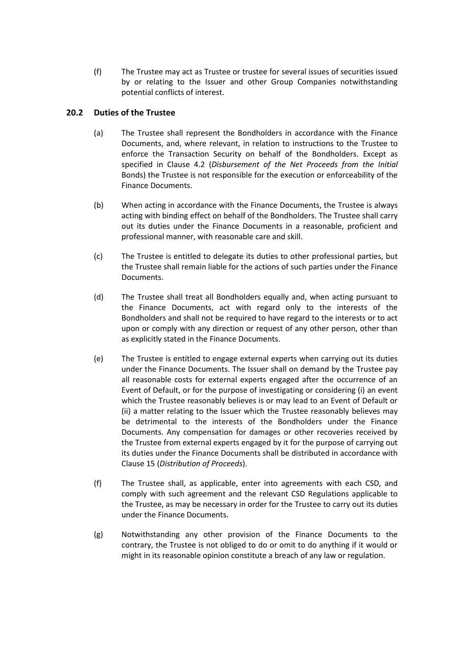(f) The Trustee may act as Trustee or trustee for several issues of securities issued by or relating to the Issuer and other Group Companies notwithstanding potential conflicts of interest.

### **20.2 Duties of the Trustee**

- (a) The Trustee shall represent the Bondholders in accordance with the Finance Documents, and, where relevant, in relation to instructions to the Trustee to enforce the Transaction Security on behalf of the Bondholders. Except as specified in Clause [4.2](#page-13-0) (*[Disbursement of the Net Proceeds from the Initial](#page-13-0)* [Bonds\)](#page-13-0) the Trustee is not responsible for the execution or enforceability of the Finance Documents.
- (b) When acting in accordance with the Finance Documents, the Trustee is always acting with binding effect on behalf of the Bondholders. The Trustee shall carry out its duties under the Finance Documents in a reasonable, proficient and professional manner, with reasonable care and skill.
- (c) The Trustee is entitled to delegate its duties to other professional parties, but the Trustee shall remain liable for the actions of such parties under the Finance Documents.
- (d) The Trustee shall treat all Bondholders equally and, when acting pursuant to the Finance Documents, act with regard only to the interests of the Bondholders and shall not be required to have regard to the interests or to act upon or comply with any direction or request of any other person, other than as explicitly stated in the Finance Documents.
- <span id="page-33-0"></span>(e) The Trustee is entitled to engage external experts when carrying out its duties under the Finance Documents. The Issuer shall on demand by the Trustee pay all reasonable costs for external experts engaged after the occurrence of an Event of Default, or for the purpose of investigating or considering (i) an event which the Trustee reasonably believes is or may lead to an Event of Default or (ii) a matter relating to the Issuer which the Trustee reasonably believes may be detrimental to the interests of the Bondholders under the Finance Documents. Any compensation for damages or other recoveries received by the Trustee from external experts engaged by it for the purpose of carrying out its duties under the Finance Documents shall be distributed in accordance with Clause [15](#page-26-0) (*[Distribution of Proceeds](#page-26-0)*).
- (f) The Trustee shall, as applicable, enter into agreements with each CSD, and comply with such agreement and the relevant CSD Regulations applicable to the Trustee, as may be necessary in order for the Trustee to carry out its duties under the Finance Documents.
- (g) Notwithstanding any other provision of the Finance Documents to the contrary, the Trustee is not obliged to do or omit to do anything if it would or might in its reasonable opinion constitute a breach of any law or regulation.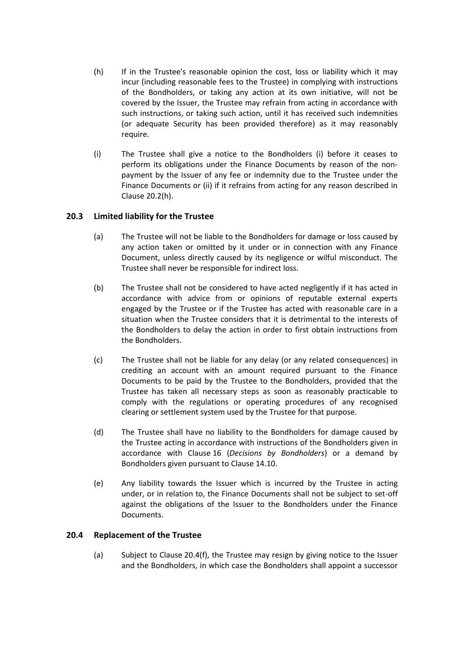- <span id="page-34-0"></span>(h) If in the Trustee's reasonable opinion the cost, loss or liability which it may incur (including reasonable fees to the Trustee) in complying with instructions of the Bondholders, or taking any action at its own initiative, will not be covered by the Issuer, the Trustee may refrain from acting in accordance with such instructions, or taking such action, until it has received such indemnities (or adequate Security has been provided therefore) as it may reasonably require.
- <span id="page-34-2"></span>(i) The Trustee shall give a notice to the Bondholders (i) before it ceases to perform its obligations under the Finance Documents by reason of the nonpayment by the Issuer of any fee or indemnity due to the Trustee under the Finance Documents or (ii) if it refrains from acting for any reason described in Clause [20.2\(h\).](#page-34-0)

## **20.3 Limited liability for the Trustee**

- (a) The Trustee will not be liable to the Bondholders for damage or loss caused by any action taken or omitted by it under or in connection with any Finance Document, unless directly caused by its negligence or wilful misconduct. The Trustee shall never be responsible for indirect loss.
- (b) The Trustee shall not be considered to have acted negligently if it has acted in accordance with advice from or opinions of reputable external experts engaged by the Trustee or if the Trustee has acted with reasonable care in a situation when the Trustee considers that it is detrimental to the interests of the Bondholders to delay the action in order to first obtain instructions from the Bondholders.
- (c) The Trustee shall not be liable for any delay (or any related consequences) in crediting an account with an amount required pursuant to the Finance Documents to be paid by the Trustee to the Bondholders, provided that the Trustee has taken all necessary steps as soon as reasonably practicable to comply with the regulations or operating procedures of any recognised clearing or settlement system used by the Trustee for that purpose.
- (d) The Trustee shall have no liability to the Bondholders for damage caused by the Trustee acting in accordance with instructions of the Bondholders given in accordance with Clause [16](#page-27-0) (*[Decisions by Bondholders](#page-27-0)*) or a demand by Bondholders given pursuant to Clause [14.10.](#page-25-1)
- (e) Any liability towards the Issuer which is incurred by the Trustee in acting under, or in relation to, the Finance Documents shall not be subject to set-off against the obligations of the Issuer to the Bondholders under the Finance Documents.

#### <span id="page-34-1"></span>**20.4 Replacement of the Trustee**

(a) Subject to Clause [20.4\(f\),](#page-35-1) the Trustee may resign by giving notice to the Issuer and the Bondholders, in which case the Bondholders shall appoint a successor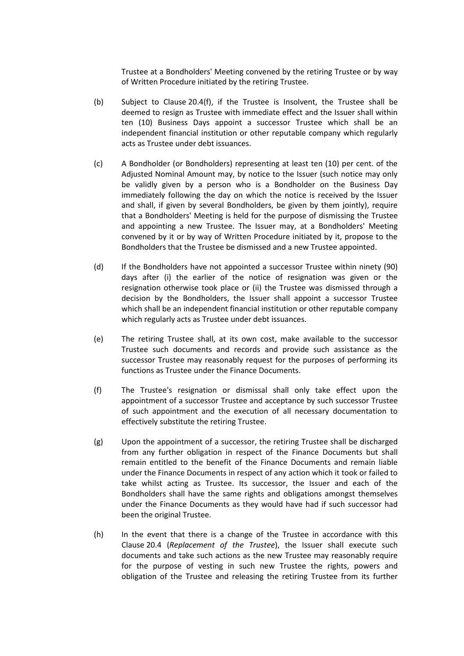Trustee at a Bondholders' Meeting convened by the retiring Trustee or by way of Written Procedure initiated by the retiring Trustee.

- (b) Subject to Clause [20.4\(f\),](#page-35-1) if the Trustee is Insolvent, the Trustee shall be deemed to resign as Trustee with immediate effect and the Issuer shall within ten (10) Business Days appoint a successor Trustee which shall be an independent financial institution or other reputable company which regularly acts as Trustee under debt issuances.
- <span id="page-35-0"></span>(c) A Bondholder (or Bondholders) representing at least ten (10) per cent. of the Adjusted Nominal Amount may, by notice to the Issuer (such notice may only be validly given by a person who is a Bondholder on the Business Day immediately following the day on which the notice is received by the Issuer and shall, if given by several Bondholders, be given by them jointly), require that a Bondholders' Meeting is held for the purpose of dismissing the Trustee and appointing a new Trustee. The Issuer may, at a Bondholders' Meeting convened by it or by way of Written Procedure initiated by it, propose to the Bondholders that the Trustee be dismissed and a new Trustee appointed.
- (d) If the Bondholders have not appointed a successor Trustee within ninety (90) days after (i) the earlier of the notice of resignation was given or the resignation otherwise took place or (ii) the Trustee was dismissed through a decision by the Bondholders, the Issuer shall appoint a successor Trustee which shall be an independent financial institution or other reputable company which regularly acts as Trustee under debt issuances.
- (e) The retiring Trustee shall, at its own cost, make available to the successor Trustee such documents and records and provide such assistance as the successor Trustee may reasonably request for the purposes of performing its functions as Trustee under the Finance Documents.
- <span id="page-35-1"></span>(f) The Trustee's resignation or dismissal shall only take effect upon the appointment of a successor Trustee and acceptance by such successor Trustee of such appointment and the execution of all necessary documentation to effectively substitute the retiring Trustee.
- (g) Upon the appointment of a successor, the retiring Trustee shall be discharged from any further obligation in respect of the Finance Documents but shall remain entitled to the benefit of the Finance Documents and remain liable under the Finance Documents in respect of any action which it took or failed to take whilst acting as Trustee. Its successor, the Issuer and each of the Bondholders shall have the same rights and obligations amongst themselves under the Finance Documents as they would have had if such successor had been the original Trustee.
- (h) In the event that there is a change of the Trustee in accordance with this Clause [20.4](#page-34-1) (*[Replacement of the Trustee](#page-34-1)*), the Issuer shall execute such documents and take such actions as the new Trustee may reasonably require for the purpose of vesting in such new Trustee the rights, powers and obligation of the Trustee and releasing the retiring Trustee from its further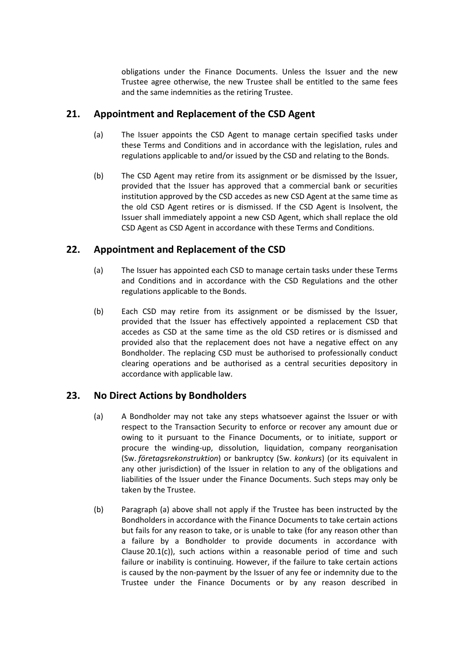obligations under the Finance Documents. Unless the Issuer and the new Trustee agree otherwise, the new Trustee shall be entitled to the same fees and the same indemnities as the retiring Trustee.

## <span id="page-36-0"></span>**21. Appointment and Replacement of the CSD Agent**

- (a) The Issuer appoints the CSD Agent to manage certain specified tasks under these Terms and Conditions and in accordance with the legislation, rules and regulations applicable to and/or issued by the CSD and relating to the Bonds.
- (b) The CSD Agent may retire from its assignment or be dismissed by the Issuer, provided that the Issuer has approved that a commercial bank or securities institution approved by the CSD accedes as new CSD Agent at the same time as the old CSD Agent retires or is dismissed. If the CSD Agent is Insolvent, the Issuer shall immediately appoint a new CSD Agent, which shall replace the old CSD Agent as CSD Agent in accordance with these Terms and Conditions.

## <span id="page-36-1"></span>**22. Appointment and Replacement of the CSD**

- (a) The Issuer has appointed each CSD to manage certain tasks under these Terms and Conditions and in accordance with the CSD Regulations and the other regulations applicable to the Bonds.
- (b) Each CSD may retire from its assignment or be dismissed by the Issuer, provided that the Issuer has effectively appointed a replacement CSD that accedes as CSD at the same time as the old CSD retires or is dismissed and provided also that the replacement does not have a negative effect on any Bondholder. The replacing CSD must be authorised to professionally conduct clearing operations and be authorised as a central securities depository in accordance with applicable law.

## <span id="page-36-2"></span>**23. No Direct Actions by Bondholders**

- (a) A Bondholder may not take any steps whatsoever against the Issuer or with respect to the Transaction Security to enforce or recover any amount due or owing to it pursuant to the Finance Documents, or to initiate, support or procure the winding-up, dissolution, liquidation, company reorganisation (Sw. *företagsrekonstruktion*) or bankruptcy (Sw. *konkurs*) (or its equivalent in any other jurisdiction) of the Issuer in relation to any of the obligations and liabilities of the Issuer under the Finance Documents. Such steps may only be taken by the Trustee.
- (b) Paragraph (a) above shall not apply if the Trustee has been instructed by the Bondholders in accordance with the Finance Documents to take certain actions but fails for any reason to take, or is unable to take (for any reason other than a failure by a Bondholder to provide documents in accordance with Clause [20.1\(c\)\)](#page-32-3), such actions within a reasonable period of time and such failure or inability is continuing. However, if the failure to take certain actions is caused by the non-payment by the Issuer of any fee or indemnity due to the Trustee under the Finance Documents or by any reason described in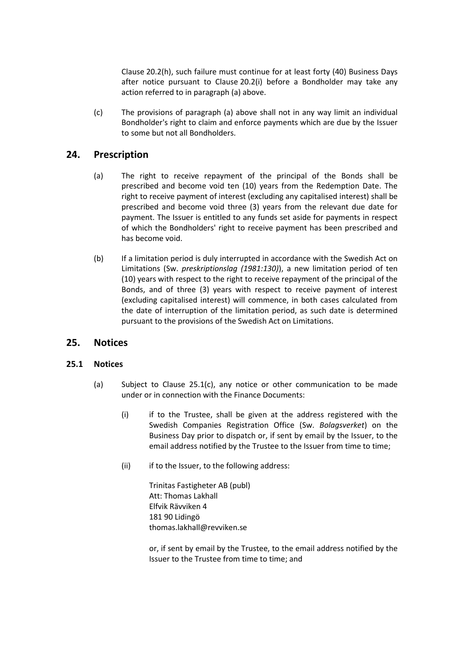Clause [20.2\(h\),](#page-34-0) such failure must continue for at least forty (40) Business Days after notice pursuant to Clause [20.2\(i\)](#page-34-2) before a Bondholder may take any action referred to in paragraph (a) above.

(c) The provisions of paragraph (a) above shall not in any way limit an individual Bondholder's right to claim and enforce payments which are due by the Issuer to some but not all Bondholders.

## <span id="page-37-0"></span>**24. Prescription**

- (a) The right to receive repayment of the principal of the Bonds shall be prescribed and become void ten (10) years from the Redemption Date. The right to receive payment of interest (excluding any capitalised interest) shall be prescribed and become void three (3) years from the relevant due date for payment. The Issuer is entitled to any funds set aside for payments in respect of which the Bondholders' right to receive payment has been prescribed and has become void.
- (b) If a limitation period is duly interrupted in accordance with the Swedish Act on Limitations (Sw. *preskriptionslag (1981:130)*), a new limitation period of ten (10) years with respect to the right to receive repayment of the principal of the Bonds, and of three (3) years with respect to receive payment of interest (excluding capitalised interest) will commence, in both cases calculated from the date of interruption of the limitation period, as such date is determined pursuant to the provisions of the Swedish Act on Limitations.

## <span id="page-37-1"></span>**25. Notices**

### <span id="page-37-2"></span>**25.1 Notices**

- (a) Subject to Clause [25.1](#page-37-2)[\(c\),](#page-38-0) any notice or other communication to be made under or in connection with the Finance Documents:
	- (i) if to the Trustee, shall be given at the address registered with the Swedish Companies Registration Office (Sw. *Bolagsverket*) on the Business Day prior to dispatch or, if sent by email by the Issuer, to the email address notified by the Trustee to the Issuer from time to time;
	- (ii) if to the Issuer, to the following address:

Trinitas Fastigheter AB (publ) Att: Thomas Lakhall Elfvik Rävviken 4 181 90 Lidingö thomas.lakhall@revviken.se

or, if sent by email by the Trustee, to the email address notified by the Issuer to the Trustee from time to time; and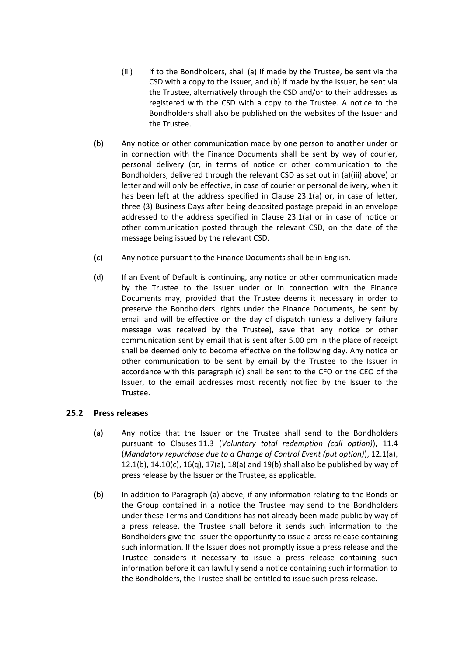- (iii) if to the Bondholders, shall (a) if made by the Trustee, be sent via the CSD with a copy to the Issuer, and (b) if made by the Issuer, be sent via the Trustee, alternatively through the CSD and/or to their addresses as registered with the CSD with a copy to the Trustee. A notice to the Bondholders shall also be published on the websites of the Issuer and the Trustee.
- (b) Any notice or other communication made by one person to another under or in connection with the Finance Documents shall be sent by way of courier, personal delivery (or, in terms of notice or other communication to the Bondholders, delivered through the relevant CSD as set out in (a)(iii) above) or letter and will only be effective, in case of courier or personal delivery, when it has been left at the address specified in Clause 23.1(a) or, in case of letter, three (3) Business Days after being deposited postage prepaid in an envelope addressed to the address specified in Clause 23.1(a) or in case of notice or other communication posted through the relevant CSD, on the date of the message being issued by the relevant CSD.
- <span id="page-38-0"></span>(c) Any notice pursuant to the Finance Documents shall be in English.
- (d) If an Event of Default is continuing, any notice or other communication made by the Trustee to the Issuer under or in connection with the Finance Documents may, provided that the Trustee deems it necessary in order to preserve the Bondholders' rights under the Finance Documents, be sent by email and will be effective on the day of dispatch (unless a delivery failure message was received by the Trustee), save that any notice or other communication sent by email that is sent after 5.00 pm in the place of receipt shall be deemed only to become effective on the following day. Any notice or other communication to be sent by email by the Trustee to the Issuer in accordance with this paragraph (c) shall be sent to the CFO or the CEO of the Issuer, to the email addresses most recently notified by the Issuer to the Trustee.

#### <span id="page-38-1"></span>**25.2 Press releases**

- (a) Any notice that the Issuer or the Trustee shall send to the Bondholders pursuant to Clauses [11.3](#page-18-4) (*Voluntary total redemption (call option)*), [11.4](#page-19-0) (*Mandatory repurchase due to a Change of Control Event (put option)*), [12.1\(a\),](#page-20-1) [12.1\(b\),](#page-20-3) [14.10\(c\),](#page-25-3) [16\(q\),](#page-30-3) [17\(a\),](#page-30-1) [18\(a\)](#page-31-2) an[d 19\(b\)](#page-32-4) shall also be published by way of press release by the Issuer or the Trustee, as applicable.
- (b) In addition to Paragraph (a) above, if any information relating to the Bonds or the Group contained in a notice the Trustee may send to the Bondholders under these Terms and Conditions has not already been made public by way of a press release, the Trustee shall before it sends such information to the Bondholders give the Issuer the opportunity to issue a press release containing such information. If the Issuer does not promptly issue a press release and the Trustee considers it necessary to issue a press release containing such information before it can lawfully send a notice containing such information to the Bondholders, the Trustee shall be entitled to issue such press release.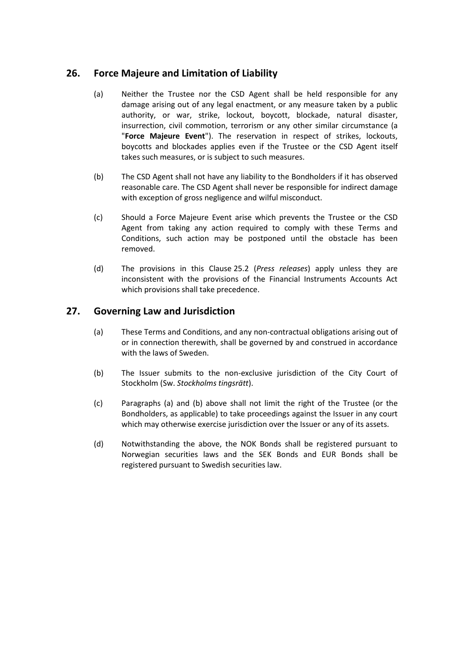## <span id="page-39-2"></span><span id="page-39-0"></span>**26. Force Majeure and Limitation of Liability**

- (a) Neither the Trustee nor the CSD Agent shall be held responsible for any damage arising out of any legal enactment, or any measure taken by a public authority, or war, strike, lockout, boycott, blockade, natural disaster, insurrection, civil commotion, terrorism or any other similar circumstance (a "**Force Majeure Event**"). The reservation in respect of strikes, lockouts, boycotts and blockades applies even if the Trustee or the CSD Agent itself takes such measures, or is subject to such measures.
- (b) The CSD Agent shall not have any liability to the Bondholders if it has observed reasonable care. The CSD Agent shall never be responsible for indirect damage with exception of gross negligence and wilful misconduct.
- (c) Should a Force Majeure Event arise which prevents the Trustee or the CSD Agent from taking any action required to comply with these Terms and Conditions, such action may be postponed until the obstacle has been removed.
- (d) The provisions in this Clause [25.2](#page-38-1) (*[Press releases](#page-38-1)*) apply unless they are inconsistent with the provisions of the Financial Instruments Accounts Act which provisions shall take precedence.

## <span id="page-39-1"></span>**27. Governing Law and Jurisdiction**

- (a) These Terms and Conditions, and any non-contractual obligations arising out of or in connection therewith, shall be governed by and construed in accordance with the laws of Sweden.
- (b) The Issuer submits to the non-exclusive jurisdiction of the City Court of Stockholm (Sw. *Stockholms tingsrätt*).
- (c) Paragraphs (a) and (b) above shall not limit the right of the Trustee (or the Bondholders, as applicable) to take proceedings against the Issuer in any court which may otherwise exercise jurisdiction over the Issuer or any of its assets.
- (d) Notwithstanding the above, the NOK Bonds shall be registered pursuant to Norwegian securities laws and the SEK Bonds and EUR Bonds shall be registered pursuant to Swedish securities law.